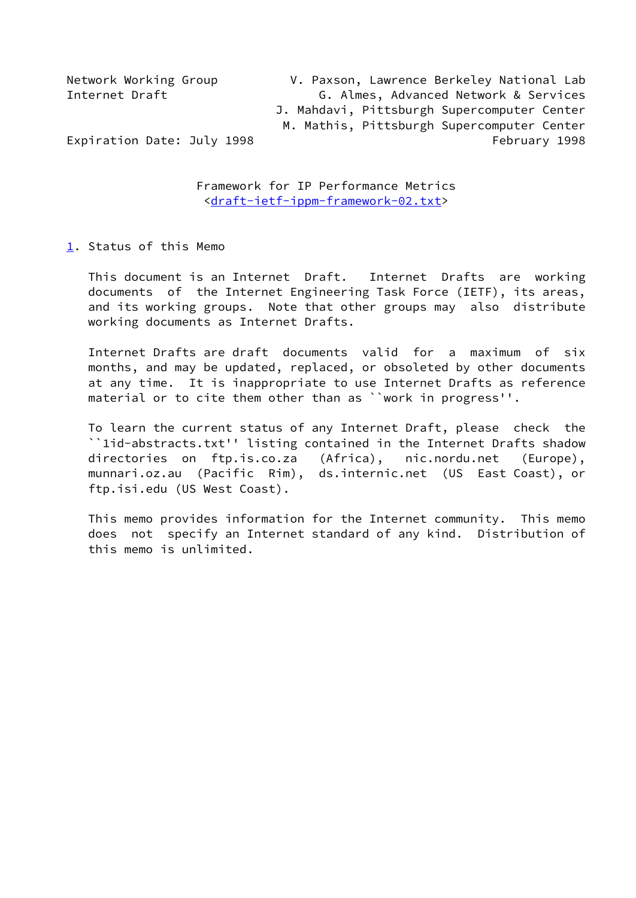Network Working Group V. Paxson, Lawrence Berkeley National Lab Internet Draft **G. Almes, Advanced Network & Services**  J. Mahdavi, Pittsburgh Supercomputer Center M. Mathis, Pittsburgh Supercomputer Center Expiration Date: July 1998 **February 1998** February 1998

> Framework for IP Performance Metrics [<draft-ietf-ippm-framework-02.txt](https://datatracker.ietf.org/doc/pdf/draft-ietf-ippm-framework-02.txt)>

<span id="page-0-0"></span>[1](#page-0-0). Status of this Memo

 This document is an Internet Draft. Internet Drafts are working documents of the Internet Engineering Task Force (IETF), its areas, and its working groups. Note that other groups may also distribute working documents as Internet Drafts.

 Internet Drafts are draft documents valid for a maximum of six months, and may be updated, replaced, or obsoleted by other documents at any time. It is inappropriate to use Internet Drafts as reference material or to cite them other than as ``work in progress''.

 To learn the current status of any Internet Draft, please check the ``1id-abstracts.txt'' listing contained in the Internet Drafts shadow directories on ftp.is.co.za (Africa), nic.nordu.net (Europe), munnari.oz.au (Pacific Rim), ds.internic.net (US East Coast), or ftp.isi.edu (US West Coast).

 This memo provides information for the Internet community. This memo does not specify an Internet standard of any kind. Distribution of this memo is unlimited.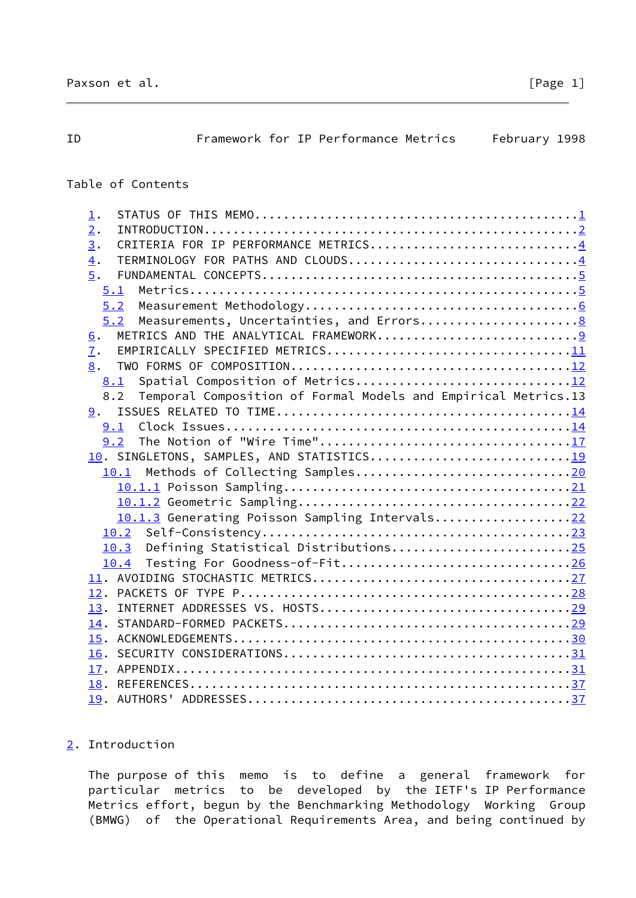<span id="page-1-1"></span>

| ID | Framework for IP Performance Metrics                                  | February 1998 |  |
|----|-----------------------------------------------------------------------|---------------|--|
|    | Table of Contents                                                     |               |  |
|    |                                                                       |               |  |
|    | $\mathbf{\underline{1}}$ .                                            |               |  |
|    | 2.<br>CRITERIA FOR IP PERFORMANCE METRICS4                            |               |  |
|    | $\overline{3}$ .<br>TERMINOLOGY FOR PATHS AND CLOUDS4<br>4.           |               |  |
|    | 5.                                                                    |               |  |
|    | 5.1                                                                   |               |  |
|    | 5.2                                                                   |               |  |
|    | 5.2                                                                   |               |  |
|    | <u>6</u> .                                                            |               |  |
|    | 7.                                                                    |               |  |
|    | 8.                                                                    |               |  |
|    | 8.1                                                                   |               |  |
|    | Temporal Composition of Formal Models and Empirical Metrics.13<br>8.2 |               |  |
|    | 9.                                                                    |               |  |
|    | 9.1                                                                   |               |  |
|    | The Notion of "Wire Time"17<br>9.2                                    |               |  |
|    | 10. SINGLETONS, SAMPLES, AND STATISTICS19                             |               |  |
|    | 10.1                                                                  |               |  |
|    |                                                                       |               |  |
|    |                                                                       |               |  |
|    | 10.1.3 Generating Poisson Sampling Intervals22                        |               |  |
|    | 10.2                                                                  |               |  |
|    | Defining Statistical Distributions25<br>10.3                          |               |  |
|    | Testing For Goodness-of-Fit26<br>10.4                                 |               |  |
|    |                                                                       |               |  |
|    |                                                                       |               |  |
|    |                                                                       |               |  |
|    | 14.                                                                   |               |  |
|    |                                                                       |               |  |
|    |                                                                       |               |  |
|    | 17.                                                                   |               |  |
|    |                                                                       |               |  |
|    |                                                                       |               |  |

# <span id="page-1-0"></span>[2](#page-1-0). Introduction

 The purpose of this memo is to define a general framework for particular metrics to be developed by the IETF's IP Performance Metrics effort, begun by the Benchmarking Methodology Working Group (BMWG) of the Operational Requirements Area, and being continued by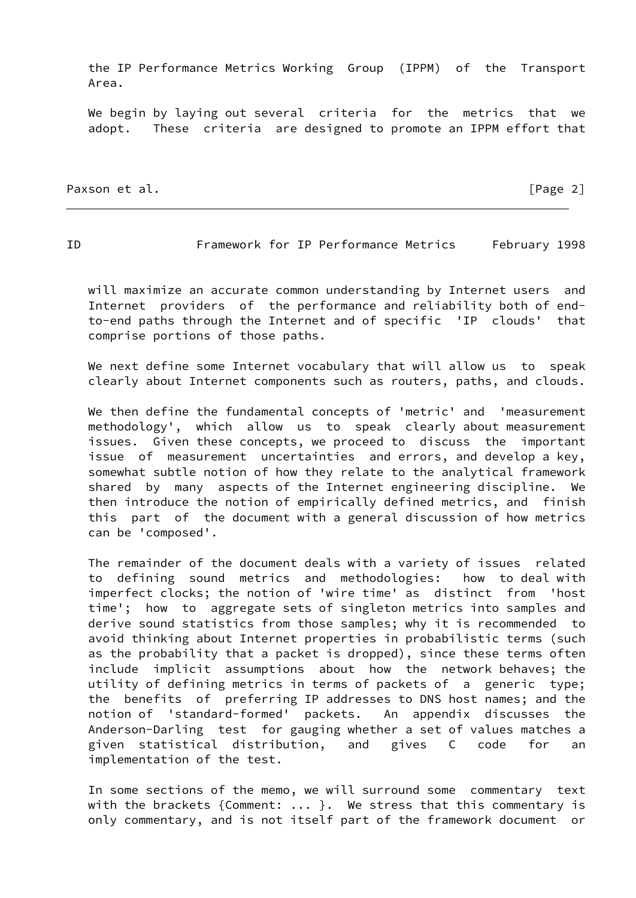the IP Performance Metrics Working Group (IPPM) of the Transport Area.

We begin by laying out several criteria for the metrics that we adopt. These criteria are designed to promote an IPPM effort that

Paxson et al. **Example 2** and the part of the control of the control of the control of the control of the control of the control of the control of the control of the control of the control of the control of the control of

ID Framework for IP Performance Metrics February 1998

 will maximize an accurate common understanding by Internet users and Internet providers of the performance and reliability both of end to-end paths through the Internet and of specific 'IP clouds' that comprise portions of those paths.

We next define some Internet vocabulary that will allow us to speak clearly about Internet components such as routers, paths, and clouds.

 We then define the fundamental concepts of 'metric' and 'measurement methodology', which allow us to speak clearly about measurement issues. Given these concepts, we proceed to discuss the important issue of measurement uncertainties and errors, and develop a key, somewhat subtle notion of how they relate to the analytical framework shared by many aspects of the Internet engineering discipline. We then introduce the notion of empirically defined metrics, and finish this part of the document with a general discussion of how metrics can be 'composed'.

 The remainder of the document deals with a variety of issues related to defining sound metrics and methodologies: how to deal with imperfect clocks; the notion of 'wire time' as distinct from 'host time'; how to aggregate sets of singleton metrics into samples and derive sound statistics from those samples; why it is recommended to avoid thinking about Internet properties in probabilistic terms (such as the probability that a packet is dropped), since these terms often include implicit assumptions about how the network behaves; the utility of defining metrics in terms of packets of a generic type; the benefits of preferring IP addresses to DNS host names; and the notion of 'standard-formed' packets. An appendix discusses the Anderson-Darling test for gauging whether a set of values matches a given statistical distribution, and gives C code for an implementation of the test.

 In some sections of the memo, we will surround some commentary text with the brackets {Comment:  $\ldots$  }. We stress that this commentary is only commentary, and is not itself part of the framework document or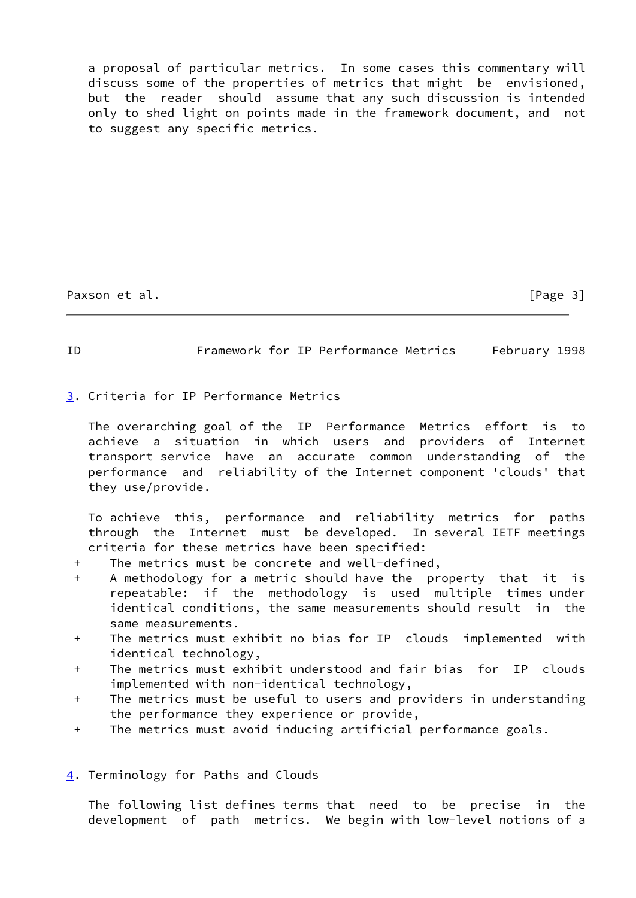a proposal of particular metrics. In some cases this commentary will discuss some of the properties of metrics that might be envisioned, but the reader should assume that any such discussion is intended only to shed light on points made in the framework document, and not to suggest any specific metrics.

Paxson et al. [Page 3]

## <span id="page-3-1"></span>ID Framework for IP Performance Metrics February 1998

<span id="page-3-0"></span>[3](#page-3-0). Criteria for IP Performance Metrics

 The overarching goal of the IP Performance Metrics effort is to achieve a situation in which users and providers of Internet transport service have an accurate common understanding of the performance and reliability of the Internet component 'clouds' that they use/provide.

 To achieve this, performance and reliability metrics for paths through the Internet must be developed. In several IETF meetings criteria for these metrics have been specified:

- + The metrics must be concrete and well-defined,
- + A methodology for a metric should have the property that it is repeatable: if the methodology is used multiple times under identical conditions, the same measurements should result in the same measurements.
- + The metrics must exhibit no bias for IP clouds implemented with identical technology,
- + The metrics must exhibit understood and fair bias for IP clouds implemented with non-identical technology,
- + The metrics must be useful to users and providers in understanding the performance they experience or provide,
- + The metrics must avoid inducing artificial performance goals.
- <span id="page-3-2"></span>[4](#page-3-2). Terminology for Paths and Clouds

 The following list defines terms that need to be precise in the development of path metrics. We begin with low-level notions of a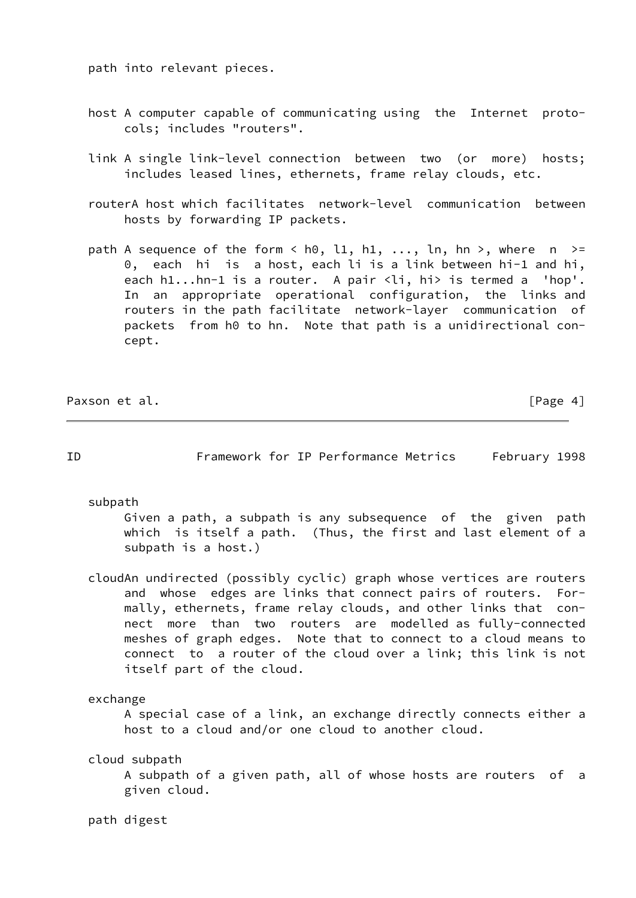path into relevant pieces.

- host A computer capable of communicating using the Internet proto cols; includes "routers".
- link A single link-level connection between two (or more) hosts; includes leased lines, ethernets, frame relay clouds, etc.
- routerA host which facilitates network-level communication between hosts by forwarding IP packets.
- path A sequence of the form  $\langle$  h0, l1, h1, ..., ln, hn >, where n >= 0, each hi is a host, each li is a link between hi-1 and hi, each h1...hn-1 is a router. A pair <li, hi> is termed a 'hop'. In an appropriate operational configuration, the links and routers in the path facilitate network-layer communication of packets from h0 to hn. Note that path is a unidirectional con cept.

Paxson et al. **Figure 2018 Paxson** et al. **Example 2018 Page 4** 

<span id="page-4-0"></span>ID Framework for IP Performance Metrics February 1998

subpath

 Given a path, a subpath is any subsequence of the given path which is itself a path. (Thus, the first and last element of a subpath is a host.)

 cloudAn undirected (possibly cyclic) graph whose vertices are routers and whose edges are links that connect pairs of routers. For mally, ethernets, frame relay clouds, and other links that con nect more than two routers are modelled as fully-connected meshes of graph edges. Note that to connect to a cloud means to connect to a router of the cloud over a link; this link is not itself part of the cloud.

exchange

 A special case of a link, an exchange directly connects either a host to a cloud and/or one cloud to another cloud.

cloud subpath

 A subpath of a given path, all of whose hosts are routers of a given cloud.

path digest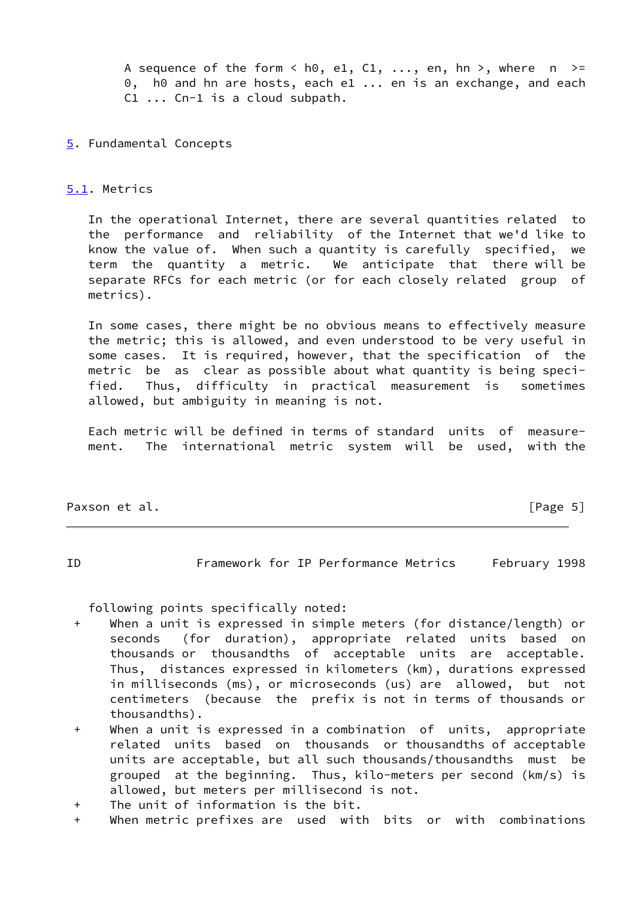A sequence of the form  $\langle$  h0, e1, C1, ..., en, hn  $\rangle$ , where n  $\rangle =$ 0, h0 and hn are hosts, each e1 ... en is an exchange, and each C1 ... Cn-1 is a cloud subpath.

## <span id="page-5-0"></span>[5](#page-5-0). Fundamental Concepts

# <span id="page-5-1"></span>[5.1](#page-5-1). Metrics

 In the operational Internet, there are several quantities related to the performance and reliability of the Internet that we'd like to know the value of. When such a quantity is carefully specified, we term the quantity a metric. We anticipate that there will be separate RFCs for each metric (or for each closely related group of metrics).

 In some cases, there might be no obvious means to effectively measure the metric; this is allowed, and even understood to be very useful in some cases. It is required, however, that the specification of the metric be as clear as possible about what quantity is being speci fied. Thus, difficulty in practical measurement is sometimes allowed, but ambiguity in meaning is not.

 Each metric will be defined in terms of standard units of measure ment. The international metric system will be used, with the

Paxson et al. **Figure 2018 Paxson et al. Figure 3** 

<span id="page-5-2"></span>ID Framework for IP Performance Metrics February 1998

following points specifically noted:

- + When a unit is expressed in simple meters (for distance/length) or seconds (for duration), appropriate related units based on thousands or thousandths of acceptable units are acceptable. Thus, distances expressed in kilometers (km), durations expressed in milliseconds (ms), or microseconds (us) are allowed, but not centimeters (because the prefix is not in terms of thousands or thousandths).
- + When a unit is expressed in a combination of units, appropriate related units based on thousands or thousandths of acceptable units are acceptable, but all such thousands/thousandths must be grouped at the beginning. Thus, kilo-meters per second (km/s) is allowed, but meters per millisecond is not.
- + The unit of information is the bit.
- + When metric prefixes are used with bits or with combinations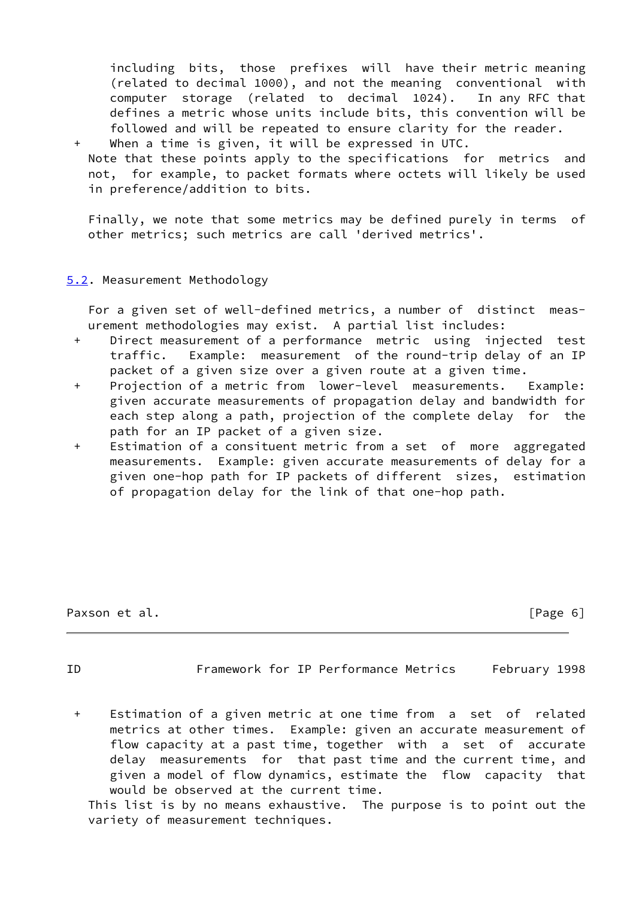including bits, those prefixes will have their metric meaning (related to decimal 1000), and not the meaning conventional with computer storage (related to decimal 1024). In any RFC that defines a metric whose units include bits, this convention will be followed and will be repeated to ensure clarity for the reader. When a time is given, it will be expressed in UTC.

 Note that these points apply to the specifications for metrics and not, for example, to packet formats where octets will likely be used in preference/addition to bits.

 Finally, we note that some metrics may be defined purely in terms of other metrics; such metrics are call 'derived metrics'.

# <span id="page-6-0"></span>[5.2](#page-6-0). Measurement Methodology

 For a given set of well-defined metrics, a number of distinct meas urement methodologies may exist. A partial list includes:

- + Direct measurement of a performance metric using injected test traffic. Example: measurement of the round-trip delay of an IP packet of a given size over a given route at a given time.
- + Projection of a metric from lower-level measurements. Example: given accurate measurements of propagation delay and bandwidth for each step along a path, projection of the complete delay for the path for an IP packet of a given size.
- + Estimation of a consituent metric from a set of more aggregated measurements. Example: given accurate measurements of delay for a given one-hop path for IP packets of different sizes, estimation of propagation delay for the link of that one-hop path.

Paxson et al. [Page 6]

ID Framework for IP Performance Metrics February 1998

 + Estimation of a given metric at one time from a set of related metrics at other times. Example: given an accurate measurement of flow capacity at a past time, together with a set of accurate delay measurements for that past time and the current time, and given a model of flow dynamics, estimate the flow capacity that would be observed at the current time.

 This list is by no means exhaustive. The purpose is to point out the variety of measurement techniques.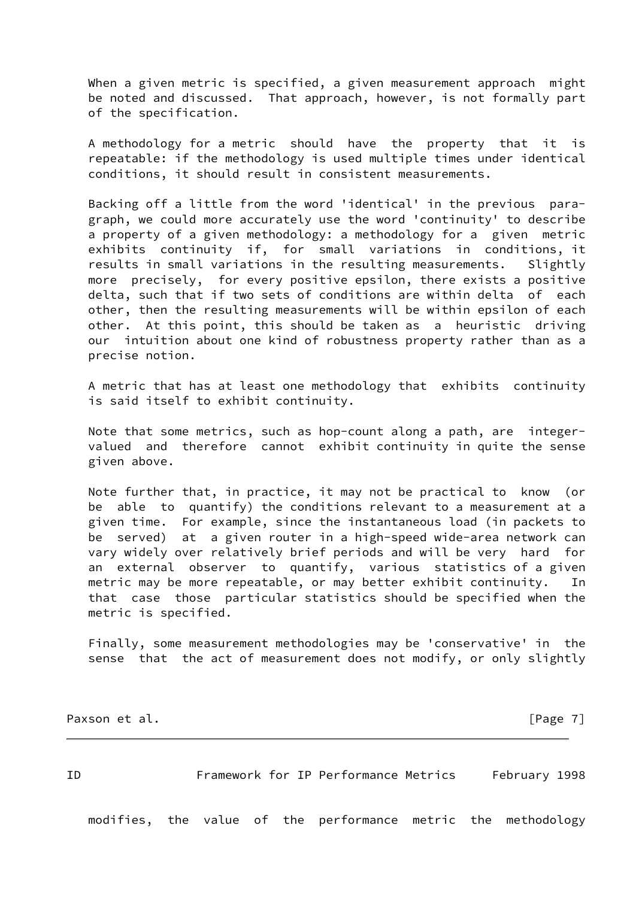When a given metric is specified, a given measurement approach might be noted and discussed. That approach, however, is not formally part of the specification.

 A methodology for a metric should have the property that it is repeatable: if the methodology is used multiple times under identical conditions, it should result in consistent measurements.

 Backing off a little from the word 'identical' in the previous para graph, we could more accurately use the word 'continuity' to describe a property of a given methodology: a methodology for a given metric exhibits continuity if, for small variations in conditions, it results in small variations in the resulting measurements. Slightly more precisely, for every positive epsilon, there exists a positive delta, such that if two sets of conditions are within delta of each other, then the resulting measurements will be within epsilon of each other. At this point, this should be taken as a heuristic driving our intuition about one kind of robustness property rather than as a precise notion.

 A metric that has at least one methodology that exhibits continuity is said itself to exhibit continuity.

 Note that some metrics, such as hop-count along a path, are integer valued and therefore cannot exhibit continuity in quite the sense given above.

 Note further that, in practice, it may not be practical to know (or be able to quantify) the conditions relevant to a measurement at a given time. For example, since the instantaneous load (in packets to be served) at a given router in a high-speed wide-area network can vary widely over relatively brief periods and will be very hard for an external observer to quantify, various statistics of a given metric may be more repeatable, or may better exhibit continuity. In that case those particular statistics should be specified when the metric is specified.

 Finally, some measurement methodologies may be 'conservative' in the sense that the act of measurement does not modify, or only slightly

Paxson et al. [Page 7]

<span id="page-7-0"></span>ID Framework for IP Performance Metrics February 1998 modifies, the value of the performance metric the methodology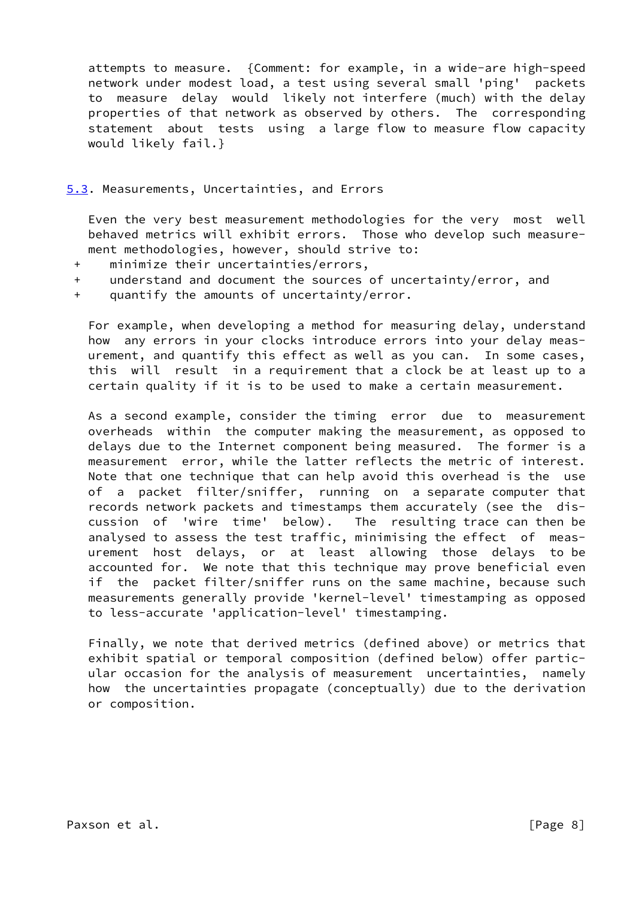attempts to measure. {Comment: for example, in a wide-are high-speed network under modest load, a test using several small 'ping' packets to measure delay would likely not interfere (much) with the delay properties of that network as observed by others. The corresponding statement about tests using a large flow to measure flow capacity would likely fail.}

## <span id="page-8-0"></span>[5.3](#page-8-0). Measurements, Uncertainties, and Errors

 Even the very best measurement methodologies for the very most well behaved metrics will exhibit errors. Those who develop such measure ment methodologies, however, should strive to:

- + minimize their uncertainties/errors,
- + understand and document the sources of uncertainty/error, and
- + quantify the amounts of uncertainty/error.

 For example, when developing a method for measuring delay, understand how any errors in your clocks introduce errors into your delay meas urement, and quantify this effect as well as you can. In some cases, this will result in a requirement that a clock be at least up to a certain quality if it is to be used to make a certain measurement.

 As a second example, consider the timing error due to measurement overheads within the computer making the measurement, as opposed to delays due to the Internet component being measured. The former is a measurement error, while the latter reflects the metric of interest. Note that one technique that can help avoid this overhead is the use of a packet filter/sniffer, running on a separate computer that records network packets and timestamps them accurately (see the dis cussion of 'wire time' below). The resulting trace can then be analysed to assess the test traffic, minimising the effect of meas urement host delays, or at least allowing those delays to be accounted for. We note that this technique may prove beneficial even if the packet filter/sniffer runs on the same machine, because such measurements generally provide 'kernel-level' timestamping as opposed to less-accurate 'application-level' timestamping.

 Finally, we note that derived metrics (defined above) or metrics that exhibit spatial or temporal composition (defined below) offer partic ular occasion for the analysis of measurement uncertainties, namely how the uncertainties propagate (conceptually) due to the derivation or composition.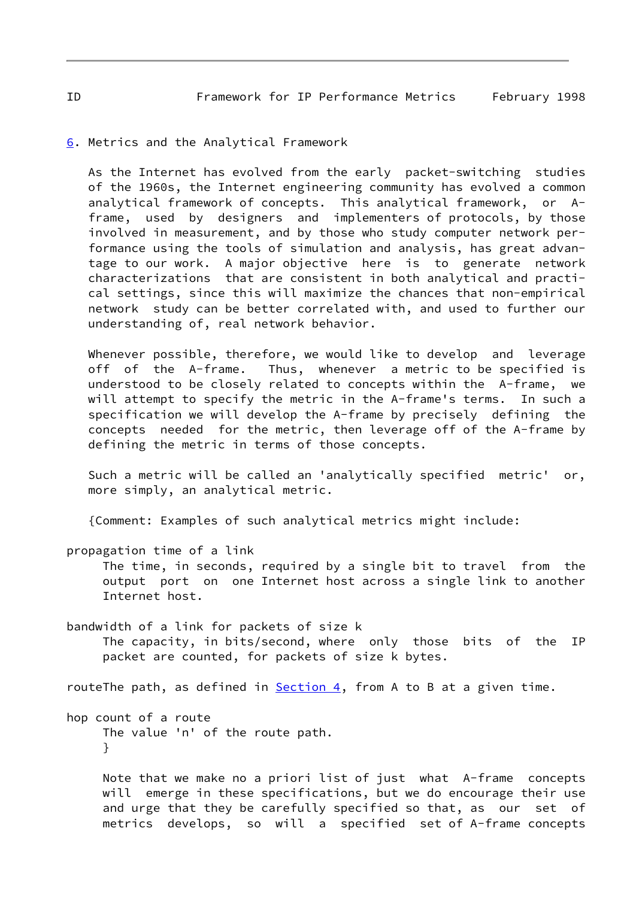#### <span id="page-9-0"></span>[6](#page-9-0). Metrics and the Analytical Framework

 As the Internet has evolved from the early packet-switching studies of the 1960s, the Internet engineering community has evolved a common analytical framework of concepts. This analytical framework, or A frame, used by designers and implementers of protocols, by those involved in measurement, and by those who study computer network per formance using the tools of simulation and analysis, has great advan tage to our work. A major objective here is to generate network characterizations that are consistent in both analytical and practi cal settings, since this will maximize the chances that non-empirical network study can be better correlated with, and used to further our understanding of, real network behavior.

 Whenever possible, therefore, we would like to develop and leverage off of the A-frame. Thus, whenever a metric to be specified is understood to be closely related to concepts within the A-frame, we will attempt to specify the metric in the A-frame's terms. In such a specification we will develop the A-frame by precisely defining the concepts needed for the metric, then leverage off of the A-frame by defining the metric in terms of those concepts.

 Such a metric will be called an 'analytically specified metric' or, more simply, an analytical metric.

{Comment: Examples of such analytical metrics might include:

propagation time of a link

 The time, in seconds, required by a single bit to travel from the output port on one Internet host across a single link to another Internet host.

bandwidth of a link for packets of size k The capacity, in bits/second, where only those bits of the IP packet are counted, for packets of size k bytes.

routeThe path, as defined in  $Section 4$ , from A to B at a given time.

hop count of a route The value 'n' of the route path. }

> Note that we make no a priori list of just what A-frame concepts will emerge in these specifications, but we do encourage their use and urge that they be carefully specified so that, as our set of metrics develops, so will a specified set of A-frame concepts

<span id="page-9-1"></span>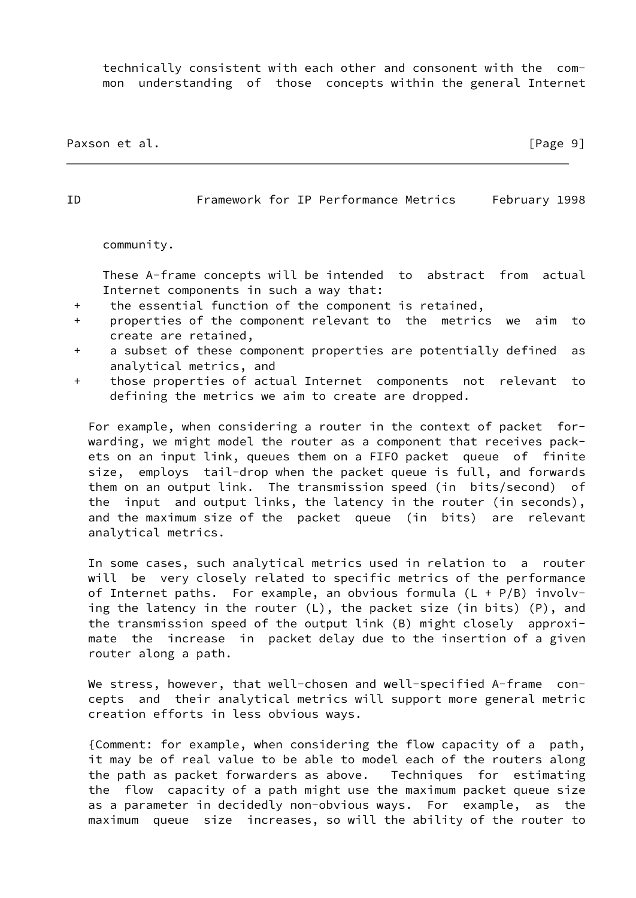technically consistent with each other and consonent with the com mon understanding of those concepts within the general Internet

Paxson et al. **Example 20** and the contract of the contract of the contract of the contract of the contract of the contract of the contract of the contract of the contract of the contract of the contract of the contract of

ID Framework for IP Performance Metrics February 1998

community.

 These A-frame concepts will be intended to abstract from actual Internet components in such a way that:

- + the essential function of the component is retained,
- + properties of the component relevant to the metrics we aim to create are retained,
- + a subset of these component properties are potentially defined as analytical metrics, and
- + those properties of actual Internet components not relevant to defining the metrics we aim to create are dropped.

 For example, when considering a router in the context of packet for warding, we might model the router as a component that receives pack ets on an input link, queues them on a FIFO packet queue of finite size, employs tail-drop when the packet queue is full, and forwards them on an output link. The transmission speed (in bits/second) of the input and output links, the latency in the router (in seconds), and the maximum size of the packet queue (in bits) are relevant analytical metrics.

 In some cases, such analytical metrics used in relation to a router will be very closely related to specific metrics of the performance of Internet paths. For example, an obvious formula  $(L + P/B)$  involv ing the latency in the router (L), the packet size (in bits) (P), and the transmission speed of the output link (B) might closely approxi mate the increase in packet delay due to the insertion of a given router along a path.

We stress, however, that well-chosen and well-specified A-frame con cepts and their analytical metrics will support more general metric creation efforts in less obvious ways.

 {Comment: for example, when considering the flow capacity of a path, it may be of real value to be able to model each of the routers along the path as packet forwarders as above. Techniques for estimating the flow capacity of a path might use the maximum packet queue size as a parameter in decidedly non-obvious ways. For example, as the maximum queue size increases, so will the ability of the router to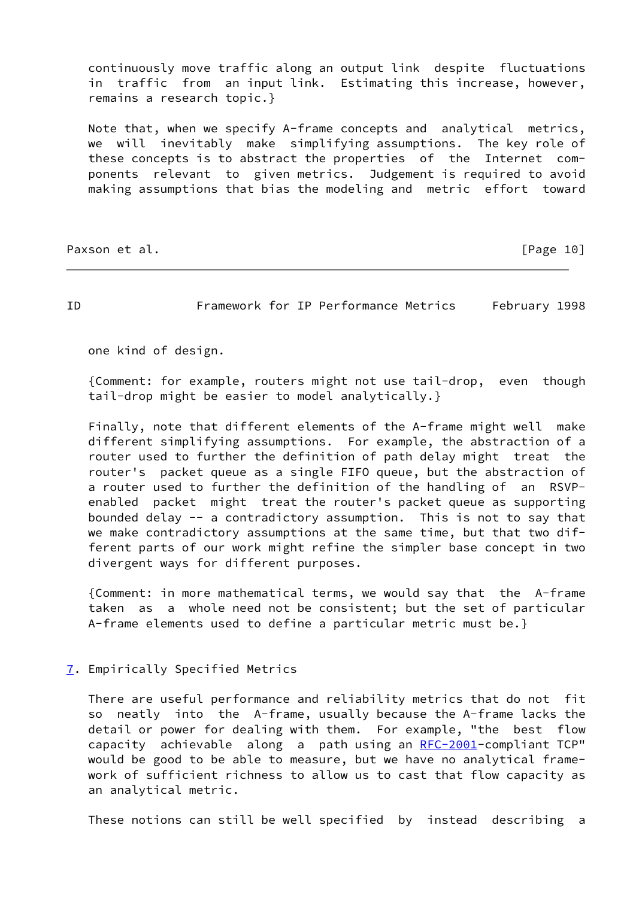continuously move traffic along an output link despite fluctuations in traffic from an input link. Estimating this increase, however, remains a research topic.}

 Note that, when we specify A-frame concepts and analytical metrics, we will inevitably make simplifying assumptions. The key role of these concepts is to abstract the properties of the Internet com ponents relevant to given metrics. Judgement is required to avoid making assumptions that bias the modeling and metric effort toward

Paxson et al. [Page 10]

<span id="page-11-1"></span>ID Framework for IP Performance Metrics February 1998

one kind of design.

 {Comment: for example, routers might not use tail-drop, even though tail-drop might be easier to model analytically.}

 Finally, note that different elements of the A-frame might well make different simplifying assumptions. For example, the abstraction of a router used to further the definition of path delay might treat the router's packet queue as a single FIFO queue, but the abstraction of a router used to further the definition of the handling of an RSVP enabled packet might treat the router's packet queue as supporting bounded delay -- a contradictory assumption. This is not to say that we make contradictory assumptions at the same time, but that two dif ferent parts of our work might refine the simpler base concept in two divergent ways for different purposes.

 {Comment: in more mathematical terms, we would say that the A-frame taken as a whole need not be consistent; but the set of particular A-frame elements used to define a particular metric must be.}

<span id="page-11-0"></span>[7](#page-11-0). Empirically Specified Metrics

 There are useful performance and reliability metrics that do not fit so neatly into the A-frame, usually because the A-frame lacks the detail or power for dealing with them. For example, "the best flow capacity achievable along a path using an [RFC-2001](https://datatracker.ietf.org/doc/pdf/rfc2001)-compliant TCP" would be good to be able to measure, but we have no analytical frame work of sufficient richness to allow us to cast that flow capacity as an analytical metric.

These notions can still be well specified by instead describing a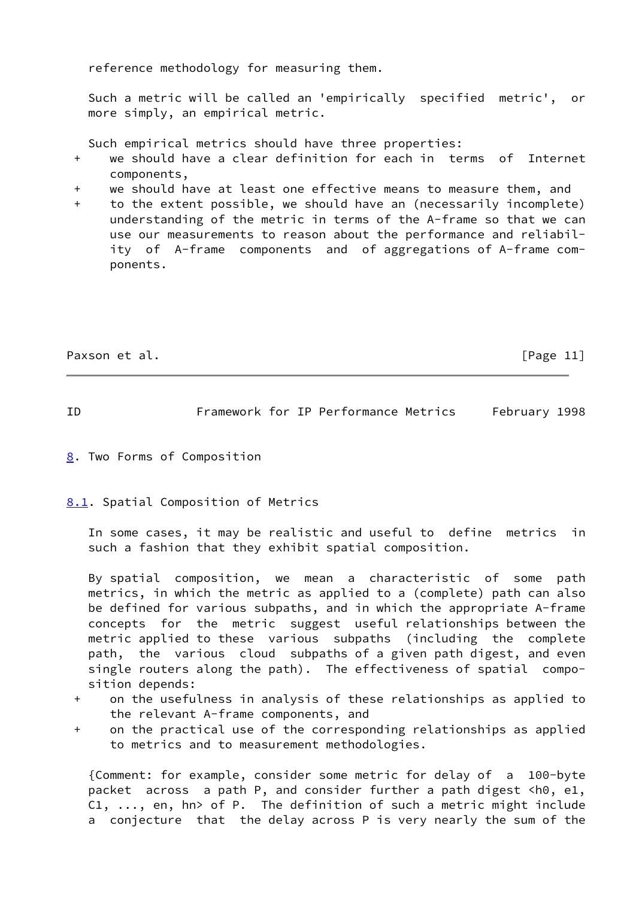reference methodology for measuring them.

 Such a metric will be called an 'empirically specified metric', or more simply, an empirical metric.

Such empirical metrics should have three properties:

- + we should have a clear definition for each in terms of Internet components,
- + we should have at least one effective means to measure them, and
- + to the extent possible, we should have an (necessarily incomplete) understanding of the metric in terms of the A-frame so that we can use our measurements to reason about the performance and reliabil ity of A-frame components and of aggregations of A-frame com ponents.

Paxson et al. [Page 11]

<span id="page-12-1"></span>

ID Framework for IP Performance Metrics February 1998

<span id="page-12-0"></span>[8](#page-12-0). Two Forms of Composition

<span id="page-12-2"></span>[8.1](#page-12-2). Spatial Composition of Metrics

 In some cases, it may be realistic and useful to define metrics in such a fashion that they exhibit spatial composition.

 By spatial composition, we mean a characteristic of some path metrics, in which the metric as applied to a (complete) path can also be defined for various subpaths, and in which the appropriate A-frame concepts for the metric suggest useful relationships between the metric applied to these various subpaths (including the complete path, the various cloud subpaths of a given path digest, and even single routers along the path). The effectiveness of spatial compo sition depends:

- + on the usefulness in analysis of these relationships as applied to the relevant A-frame components, and
- + on the practical use of the corresponding relationships as applied to metrics and to measurement methodologies.

 {Comment: for example, consider some metric for delay of a 100-byte packet across a path P, and consider further a path digest <h0, e1, C1, ..., en, hn> of P. The definition of such a metric might include a conjecture that the delay across P is very nearly the sum of the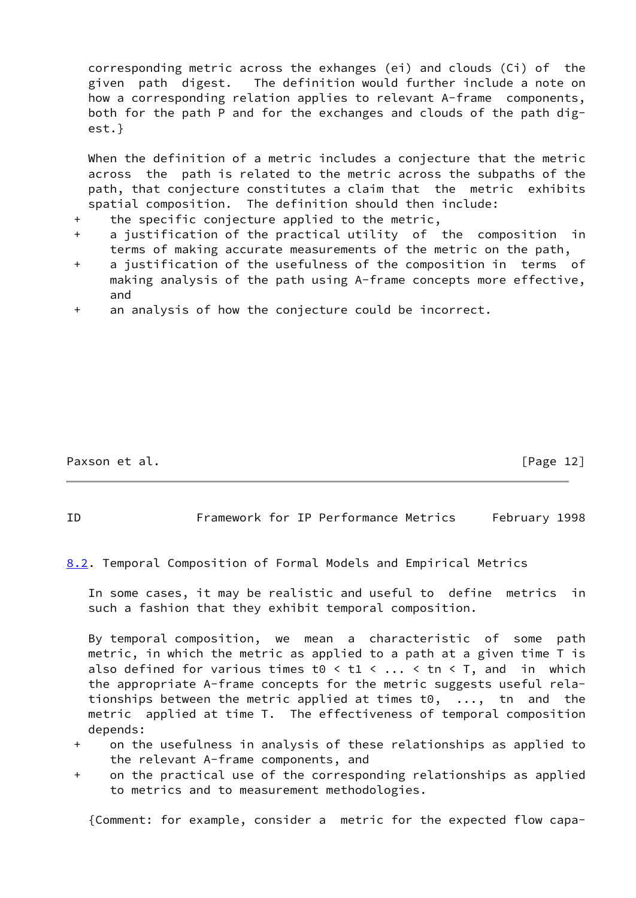corresponding metric across the exhanges (ei) and clouds (Ci) of the given path digest. The definition would further include a note on how a corresponding relation applies to relevant A-frame components, both for the path P and for the exchanges and clouds of the path dig est.}

When the definition of a metric includes a conjecture that the metric across the path is related to the metric across the subpaths of the path, that conjecture constitutes a claim that the metric exhibits spatial composition. The definition should then include:

- + the specific conjecture applied to the metric,
- + a justification of the practical utility of the composition in terms of making accurate measurements of the metric on the path,
- + a justification of the usefulness of the composition in terms of making analysis of the path using A-frame concepts more effective, and
- + an analysis of how the conjecture could be incorrect.

Paxson et al. [Page 12]

ID Framework for IP Performance Metrics February 1998

<span id="page-13-0"></span>[8.2](#page-13-0). Temporal Composition of Formal Models and Empirical Metrics

 In some cases, it may be realistic and useful to define metrics in such a fashion that they exhibit temporal composition.

 By temporal composition, we mean a characteristic of some path metric, in which the metric as applied to a path at a given time T is also defined for various times t0  $\le$  t1  $\le$  ...  $\le$  tn  $\le$  T, and in which the appropriate A-frame concepts for the metric suggests useful rela tionships between the metric applied at times t0, ..., tn and the metric applied at time T. The effectiveness of temporal composition depends:

- + on the usefulness in analysis of these relationships as applied to the relevant A-frame components, and
- + on the practical use of the corresponding relationships as applied to metrics and to measurement methodologies.

{Comment: for example, consider a metric for the expected flow capa-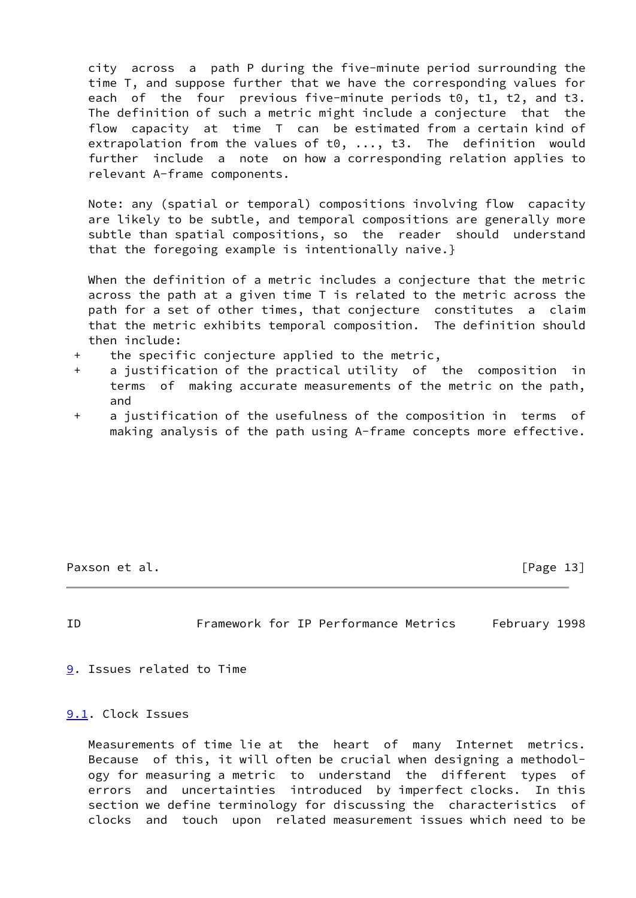city across a path P during the five-minute period surrounding the time T, and suppose further that we have the corresponding values for each of the four previous five-minute periods t0, t1, t2, and t3. The definition of such a metric might include a conjecture that the flow capacity at time T can be estimated from a certain kind of extrapolation from the values of t0, ..., t3. The definition would further include a note on how a corresponding relation applies to relevant A-frame components.

 Note: any (spatial or temporal) compositions involving flow capacity are likely to be subtle, and temporal compositions are generally more subtle than spatial compositions, so the reader should understand that the foregoing example is intentionally naive.}

 When the definition of a metric includes a conjecture that the metric across the path at a given time T is related to the metric across the path for a set of other times, that conjecture constitutes a claim that the metric exhibits temporal composition. The definition should then include:

- + the specific conjecture applied to the metric,
- + a justification of the practical utility of the composition in terms of making accurate measurements of the metric on the path, and
- + a justification of the usefulness of the composition in terms of making analysis of the path using A-frame concepts more effective.

Paxson et al. [Page 13]

<span id="page-14-1"></span>

ID Framework for IP Performance Metrics February 1998

<span id="page-14-0"></span>[9](#page-14-0). Issues related to Time

<span id="page-14-2"></span>[9.1](#page-14-2). Clock Issues

 Measurements of time lie at the heart of many Internet metrics. Because of this, it will often be crucial when designing a methodol ogy for measuring a metric to understand the different types of errors and uncertainties introduced by imperfect clocks. In this section we define terminology for discussing the characteristics of clocks and touch upon related measurement issues which need to be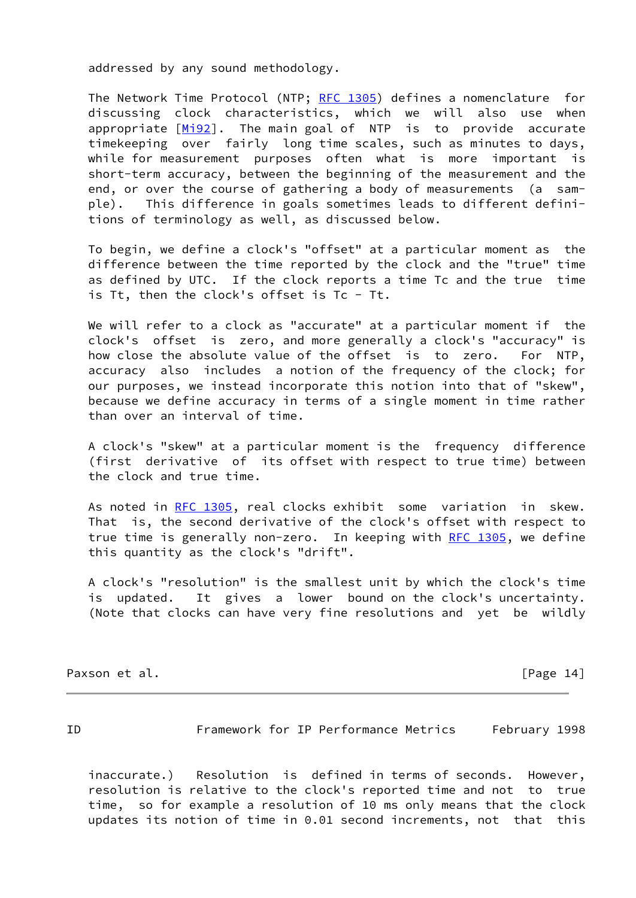addressed by any sound methodology.

 The Network Time Protocol (NTP; [RFC 1305](https://datatracker.ietf.org/doc/pdf/rfc1305)) defines a nomenclature for discussing clock characteristics, which we will also use when appropriate [\[Mi92](#page-41-1)]. The main goal of NTP is to provide accurate timekeeping over fairly long time scales, such as minutes to days, while for measurement purposes often what is more important is short-term accuracy, between the beginning of the measurement and the end, or over the course of gathering a body of measurements (a sam ple). This difference in goals sometimes leads to different defini tions of terminology as well, as discussed below.

 To begin, we define a clock's "offset" at a particular moment as the difference between the time reported by the clock and the "true" time as defined by UTC. If the clock reports a time Tc and the true time is Tt, then the clock's offset is Tc - Tt.

We will refer to a clock as "accurate" at a particular moment if the clock's offset is zero, and more generally a clock's "accuracy" is how close the absolute value of the offset is to zero. For NTP, accuracy also includes a notion of the frequency of the clock; for our purposes, we instead incorporate this notion into that of "skew", because we define accuracy in terms of a single moment in time rather than over an interval of time.

 A clock's "skew" at a particular moment is the frequency difference (first derivative of its offset with respect to true time) between the clock and true time.

 As noted in [RFC 1305,](https://datatracker.ietf.org/doc/pdf/rfc1305) real clocks exhibit some variation in skew. That is, the second derivative of the clock's offset with respect to true time is generally non-zero. In keeping with [RFC 1305](https://datatracker.ietf.org/doc/pdf/rfc1305), we define this quantity as the clock's "drift".

 A clock's "resolution" is the smallest unit by which the clock's time is updated. It gives a lower bound on the clock's uncertainty. (Note that clocks can have very fine resolutions and yet be wildly

Paxson et al. [Page 14]

ID Framework for IP Performance Metrics February 1998

 inaccurate.) Resolution is defined in terms of seconds. However, resolution is relative to the clock's reported time and not to true time, so for example a resolution of 10 ms only means that the clock updates its notion of time in 0.01 second increments, not that this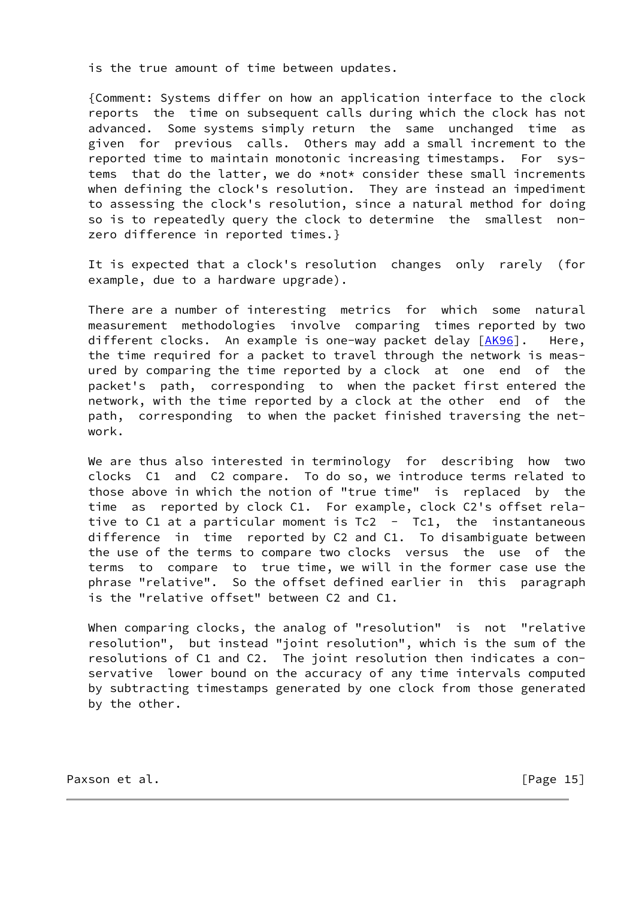is the true amount of time between updates.

 {Comment: Systems differ on how an application interface to the clock reports the time on subsequent calls during which the clock has not advanced. Some systems simply return the same unchanged time as given for previous calls. Others may add a small increment to the reported time to maintain monotonic increasing timestamps. For sys tems that do the latter, we do \*not\* consider these small increments when defining the clock's resolution. They are instead an impediment to assessing the clock's resolution, since a natural method for doing so is to repeatedly query the clock to determine the smallest non zero difference in reported times.}

 It is expected that a clock's resolution changes only rarely (for example, due to a hardware upgrade).

 There are a number of interesting metrics for which some natural measurement methodologies involve comparing times reported by two different clocks. An example is one-way packet delay [[AK96\]](#page-41-2). Here, the time required for a packet to travel through the network is meas ured by comparing the time reported by a clock at one end of the packet's path, corresponding to when the packet first entered the network, with the time reported by a clock at the other end of the path, corresponding to when the packet finished traversing the net work.

We are thus also interested in terminology for describing how two clocks C1 and C2 compare. To do so, we introduce terms related to those above in which the notion of "true time" is replaced by the time as reported by clock C1. For example, clock C2's offset rela tive to C1 at a particular moment is  $Tc2 - Tc1$ , the instantaneous difference in time reported by C2 and C1. To disambiguate between the use of the terms to compare two clocks versus the use of the terms to compare to true time, we will in the former case use the phrase "relative". So the offset defined earlier in this paragraph is the "relative offset" between C2 and C1.

 When comparing clocks, the analog of "resolution" is not "relative resolution", but instead "joint resolution", which is the sum of the resolutions of C1 and C2. The joint resolution then indicates a con servative lower bound on the accuracy of any time intervals computed by subtracting timestamps generated by one clock from those generated by the other.

Paxson et al. [Page 15]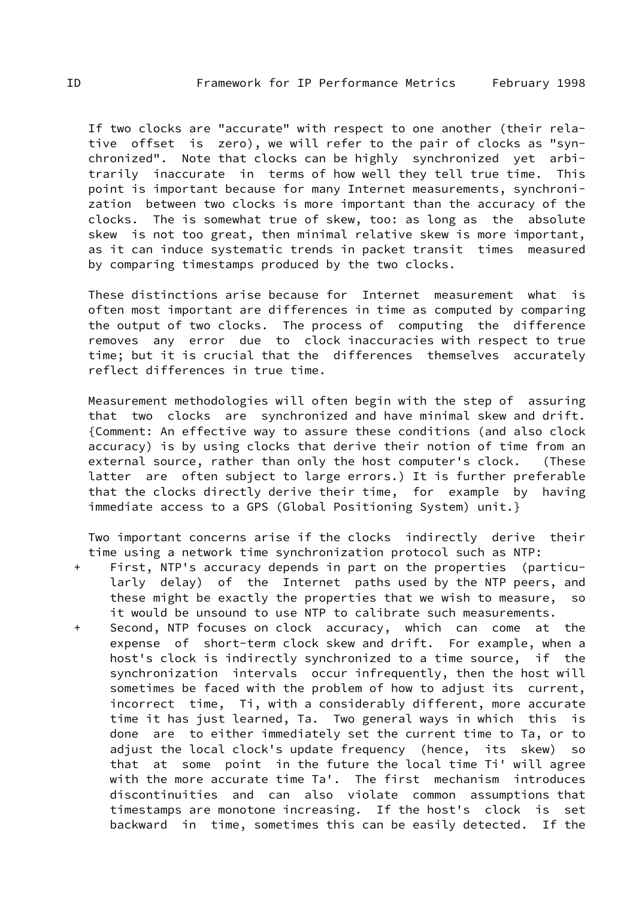If two clocks are "accurate" with respect to one another (their rela tive offset is zero), we will refer to the pair of clocks as "syn chronized". Note that clocks can be highly synchronized yet arbi trarily inaccurate in terms of how well they tell true time. This point is important because for many Internet measurements, synchroni zation between two clocks is more important than the accuracy of the clocks. The is somewhat true of skew, too: as long as the absolute skew is not too great, then minimal relative skew is more important, as it can induce systematic trends in packet transit times measured by comparing timestamps produced by the two clocks.

 These distinctions arise because for Internet measurement what is often most important are differences in time as computed by comparing the output of two clocks. The process of computing the difference removes any error due to clock inaccuracies with respect to true time; but it is crucial that the differences themselves accurately reflect differences in true time.

 Measurement methodologies will often begin with the step of assuring that two clocks are synchronized and have minimal skew and drift. {Comment: An effective way to assure these conditions (and also clock accuracy) is by using clocks that derive their notion of time from an external source, rather than only the host computer's clock. (These latter are often subject to large errors.) It is further preferable that the clocks directly derive their time, for example by having immediate access to a GPS (Global Positioning System) unit.}

 Two important concerns arise if the clocks indirectly derive their time using a network time synchronization protocol such as NTP:

- + First, NTP's accuracy depends in part on the properties (particu larly delay) of the Internet paths used by the NTP peers, and these might be exactly the properties that we wish to measure, so it would be unsound to use NTP to calibrate such measurements.
- Second, NTP focuses on clock accuracy, which can come at the expense of short-term clock skew and drift. For example, when a host's clock is indirectly synchronized to a time source, if the synchronization intervals occur infrequently, then the host will sometimes be faced with the problem of how to adjust its current, incorrect time, Ti, with a considerably different, more accurate time it has just learned, Ta. Two general ways in which this is done are to either immediately set the current time to Ta, or to adjust the local clock's update frequency (hence, its skew) so that at some point in the future the local time Ti' will agree with the more accurate time Ta'. The first mechanism introduces discontinuities and can also violate common assumptions that timestamps are monotone increasing. If the host's clock is set backward in time, sometimes this can be easily detected. If the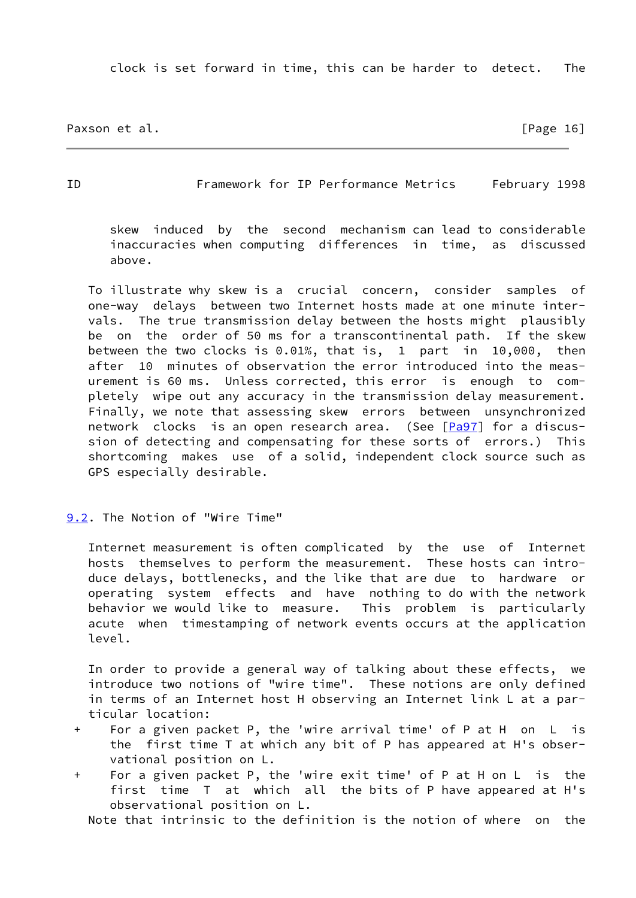clock is set forward in time, this can be harder to detect. The

Paxson et al. [Page 16]

<span id="page-18-1"></span>ID Framework for IP Performance Metrics February 1998

 skew induced by the second mechanism can lead to considerable inaccuracies when computing differences in time, as discussed above.

 To illustrate why skew is a crucial concern, consider samples of one-way delays between two Internet hosts made at one minute inter vals. The true transmission delay between the hosts might plausibly be on the order of 50 ms for a transcontinental path. If the skew between the two clocks is 0.01%, that is, 1 part in 10,000, then after 10 minutes of observation the error introduced into the meas urement is 60 ms. Unless corrected, this error is enough to com pletely wipe out any accuracy in the transmission delay measurement. Finally, we note that assessing skew errors between unsynchronized network clocks is an open research area. (See [\[Pa97](#page-41-3)] for a discus sion of detecting and compensating for these sorts of errors.) This shortcoming makes use of a solid, independent clock source such as GPS especially desirable.

<span id="page-18-0"></span>[9.2](#page-18-0). The Notion of "Wire Time"

 Internet measurement is often complicated by the use of Internet hosts themselves to perform the measurement. These hosts can intro duce delays, bottlenecks, and the like that are due to hardware or operating system effects and have nothing to do with the network behavior we would like to measure. This problem is particularly acute when timestamping of network events occurs at the application level.

 In order to provide a general way of talking about these effects, we introduce two notions of "wire time". These notions are only defined in terms of an Internet host H observing an Internet link L at a par ticular location:

- + For a given packet P, the 'wire arrival time' of P at H on L is the first time T at which any bit of P has appeared at H's obser vational position on L.
- + For a given packet P, the 'wire exit time' of P at H on L is the first time T at which all the bits of P have appeared at H's observational position on L.

Note that intrinsic to the definition is the notion of where on the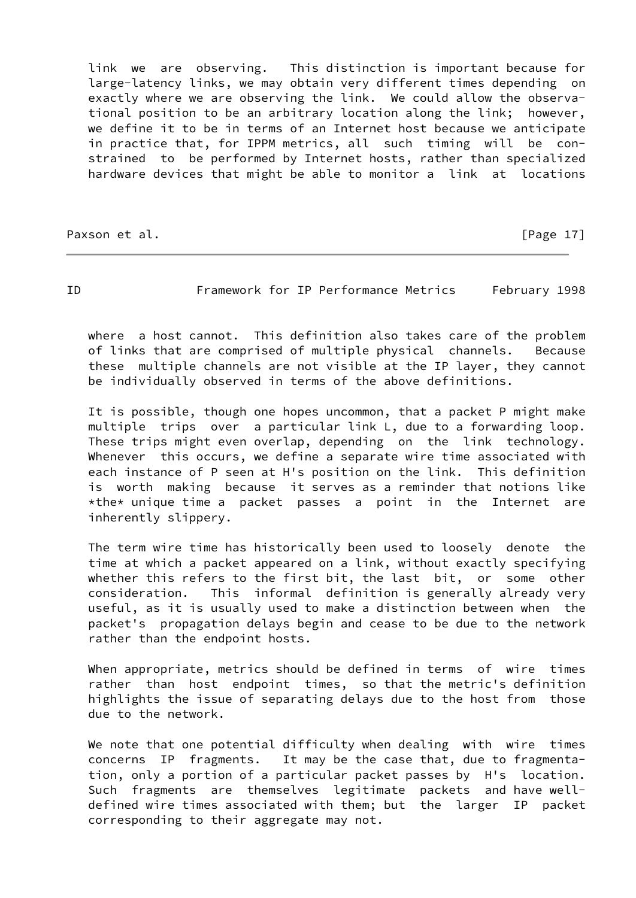link we are observing. This distinction is important because for large-latency links, we may obtain very different times depending on exactly where we are observing the link. We could allow the observa tional position to be an arbitrary location along the link; however, we define it to be in terms of an Internet host because we anticipate in practice that, for IPPM metrics, all such timing will be con strained to be performed by Internet hosts, rather than specialized hardware devices that might be able to monitor a link at locations

Paxson et al. [Page 17]

ID Framework for IP Performance Metrics February 1998

 where a host cannot. This definition also takes care of the problem of links that are comprised of multiple physical channels. Because these multiple channels are not visible at the IP layer, they cannot be individually observed in terms of the above definitions.

 It is possible, though one hopes uncommon, that a packet P might make multiple trips over a particular link L, due to a forwarding loop. These trips might even overlap, depending on the link technology. Whenever this occurs, we define a separate wire time associated with each instance of P seen at H's position on the link. This definition is worth making because it serves as a reminder that notions like  $*$ the\* unique time a packet passes a point in the Internet are inherently slippery.

 The term wire time has historically been used to loosely denote the time at which a packet appeared on a link, without exactly specifying whether this refers to the first bit, the last bit, or some other consideration. This informal definition is generally already very useful, as it is usually used to make a distinction between when the packet's propagation delays begin and cease to be due to the network rather than the endpoint hosts.

 When appropriate, metrics should be defined in terms of wire times rather than host endpoint times, so that the metric's definition highlights the issue of separating delays due to the host from those due to the network.

 We note that one potential difficulty when dealing with wire times concerns IP fragments. It may be the case that, due to fragmenta tion, only a portion of a particular packet passes by H's location. Such fragments are themselves legitimate packets and have well defined wire times associated with them; but the larger IP packet corresponding to their aggregate may not.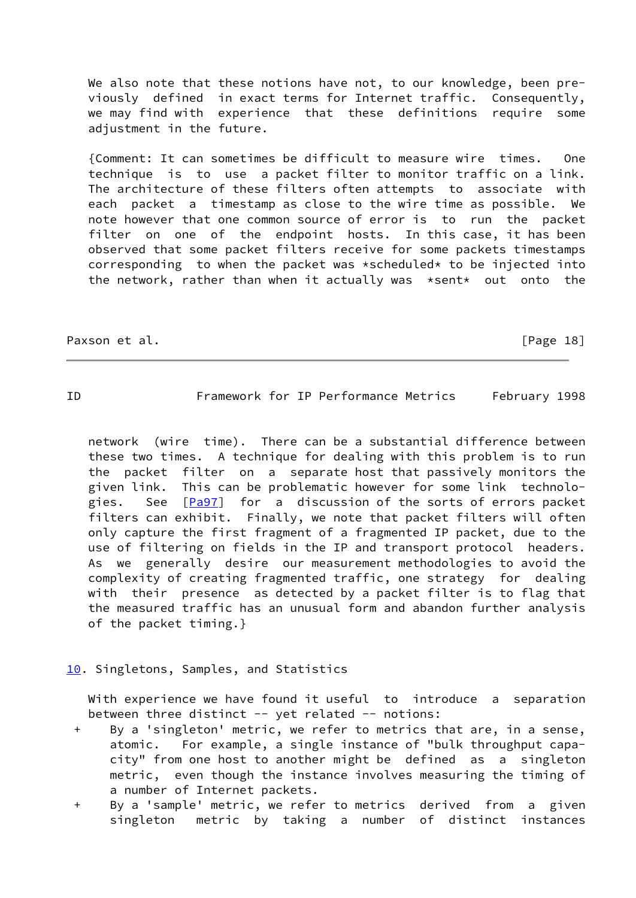We also note that these notions have not, to our knowledge, been pre viously defined in exact terms for Internet traffic. Consequently, we may find with experience that these definitions require some adjustment in the future.

 {Comment: It can sometimes be difficult to measure wire times. One technique is to use a packet filter to monitor traffic on a link. The architecture of these filters often attempts to associate with each packet a timestamp as close to the wire time as possible. We note however that one common source of error is to run the packet filter on one of the endpoint hosts. In this case, it has been observed that some packet filters receive for some packets timestamps corresponding to when the packet was \*scheduled\* to be injected into the network, rather than when it actually was \*sent\* out onto the

Paxson et al. **Figure 18** and  $\begin{bmatrix} P \text{age} & 18 \end{bmatrix}$ 

<span id="page-20-1"></span>ID Framework for IP Performance Metrics February 1998

 network (wire time). There can be a substantial difference between these two times. A technique for dealing with this problem is to run the packet filter on a separate host that passively monitors the given link. This can be problematic however for some link technolo- gies. See [\[Pa97](#page-41-3)] for a discussion of the sorts of errors packet filters can exhibit. Finally, we note that packet filters will often only capture the first fragment of a fragmented IP packet, due to the use of filtering on fields in the IP and transport protocol headers. As we generally desire our measurement methodologies to avoid the complexity of creating fragmented traffic, one strategy for dealing with their presence as detected by a packet filter is to flag that the measured traffic has an unusual form and abandon further analysis of the packet timing.}

# <span id="page-20-0"></span>[10.](#page-20-0) Singletons, Samples, and Statistics

 With experience we have found it useful to introduce a separation between three distinct -- yet related -- notions:

- + By a 'singleton' metric, we refer to metrics that are, in a sense, atomic. For example, a single instance of "bulk throughput capa city" from one host to another might be defined as a singleton metric, even though the instance involves measuring the timing of a number of Internet packets.
- + By a 'sample' metric, we refer to metrics derived from a given singleton metric by taking a number of distinct instances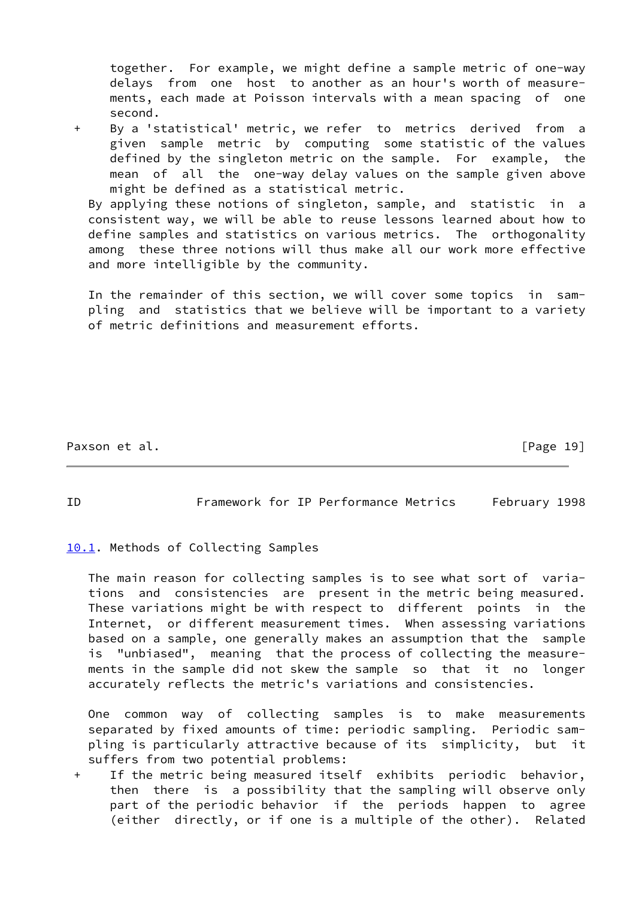together. For example, we might define a sample metric of one-way delays from one host to another as an hour's worth of measure ments, each made at Poisson intervals with a mean spacing of one second.

 + By a 'statistical' metric, we refer to metrics derived from a given sample metric by computing some statistic of the values defined by the singleton metric on the sample. For example, the mean of all the one-way delay values on the sample given above might be defined as a statistical metric.

 By applying these notions of singleton, sample, and statistic in a consistent way, we will be able to reuse lessons learned about how to define samples and statistics on various metrics. The orthogonality among these three notions will thus make all our work more effective and more intelligible by the community.

 In the remainder of this section, we will cover some topics in sam pling and statistics that we believe will be important to a variety of metric definitions and measurement efforts.

Paxson et al. [Page 19]

<span id="page-21-1"></span>ID Framework for IP Performance Metrics February 1998

<span id="page-21-0"></span>[10.1](#page-21-0). Methods of Collecting Samples

 The main reason for collecting samples is to see what sort of varia tions and consistencies are present in the metric being measured. These variations might be with respect to different points in the Internet, or different measurement times. When assessing variations based on a sample, one generally makes an assumption that the sample is "unbiased", meaning that the process of collecting the measure ments in the sample did not skew the sample so that it no longer accurately reflects the metric's variations and consistencies.

 One common way of collecting samples is to make measurements separated by fixed amounts of time: periodic sampling. Periodic sam pling is particularly attractive because of its simplicity, but it suffers from two potential problems:

 + If the metric being measured itself exhibits periodic behavior, then there is a possibility that the sampling will observe only part of the periodic behavior if the periods happen to agree (either directly, or if one is a multiple of the other). Related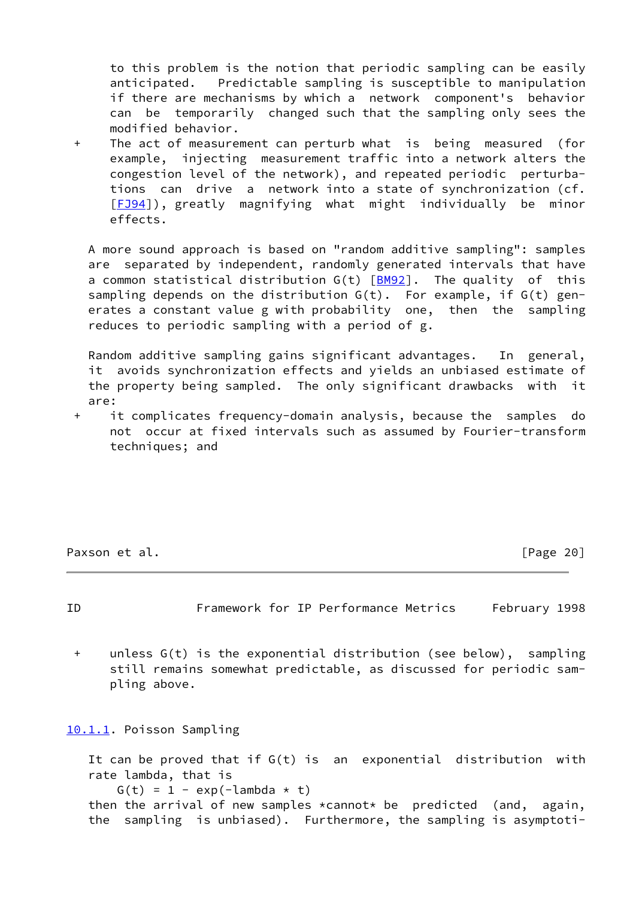to this problem is the notion that periodic sampling can be easily anticipated. Predictable sampling is susceptible to manipulation if there are mechanisms by which a network component's behavior can be temporarily changed such that the sampling only sees the modified behavior.

 + The act of measurement can perturb what is being measured (for example, injecting measurement traffic into a network alters the congestion level of the network), and repeated periodic perturba tions can drive a network into a state of synchronization (cf. [[FJ94\]](#page-41-4)), greatly magnifying what might individually be minor effects.

 A more sound approach is based on "random additive sampling": samples are separated by independent, randomly generated intervals that have a common statistical distribution  $G(t)$   $[BM92]$  $[BM92]$ . The quality of this sampling depends on the distribution  $G(t)$ . For example, if  $G(t)$  gen erates a constant value g with probability one, then the sampling reduces to periodic sampling with a period of g.

 Random additive sampling gains significant advantages. In general, it avoids synchronization effects and yields an unbiased estimate of the property being sampled. The only significant drawbacks with it are:

 + it complicates frequency-domain analysis, because the samples do not occur at fixed intervals such as assumed by Fourier-transform techniques; and

Paxson et al. **Figure 20** and  $\begin{bmatrix} P \text{age} & 20 \end{bmatrix}$ 

<span id="page-22-1"></span>ID Framework for IP Performance Metrics February 1998

 + unless G(t) is the exponential distribution (see below), sampling still remains somewhat predictable, as discussed for periodic sam pling above.

<span id="page-22-0"></span>[10.1.1](#page-22-0). Poisson Sampling

```
 It can be proved that if G(t) is an exponential distribution with
 rate lambda, that is
   G(t) = 1 - exp(-\lambda)then the arrival of new samples *cannot* be predicted (and, again,
 the sampling is unbiased). Furthermore, the sampling is asymptoti-
```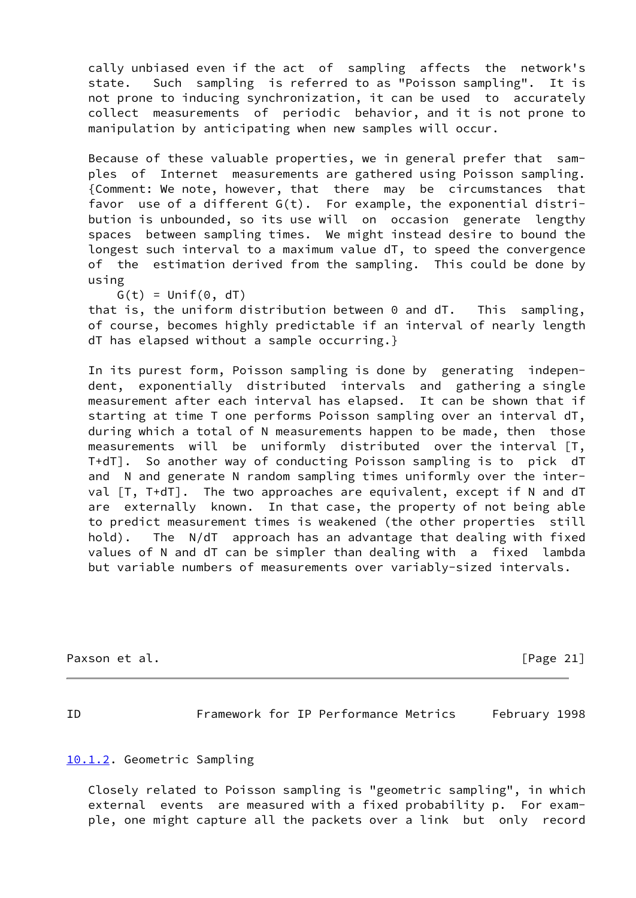cally unbiased even if the act of sampling affects the network's state. Such sampling is referred to as "Poisson sampling". It is not prone to inducing synchronization, it can be used to accurately collect measurements of periodic behavior, and it is not prone to manipulation by anticipating when new samples will occur.

 Because of these valuable properties, we in general prefer that sam ples of Internet measurements are gathered using Poisson sampling. {Comment: We note, however, that there may be circumstances that favor use of a different G(t). For example, the exponential distri bution is unbounded, so its use will on occasion generate lengthy spaces between sampling times. We might instead desire to bound the longest such interval to a maximum value dT, to speed the convergence of the estimation derived from the sampling. This could be done by using

 $G(t) = Unif(0, dT)$ 

 that is, the uniform distribution between 0 and dT. This sampling, of course, becomes highly predictable if an interval of nearly length dT has elapsed without a sample occurring.}

 In its purest form, Poisson sampling is done by generating indepen dent, exponentially distributed intervals and gathering a single measurement after each interval has elapsed. It can be shown that if starting at time T one performs Poisson sampling over an interval dT, during which a total of N measurements happen to be made, then those measurements will be uniformly distributed over the interval [T, T+dT]. So another way of conducting Poisson sampling is to pick dT and N and generate N random sampling times uniformly over the inter val [T, T+dT]. The two approaches are equivalent, except if N and dT are externally known. In that case, the property of not being able to predict measurement times is weakened (the other properties still hold). The N/dT approach has an advantage that dealing with fixed values of N and dT can be simpler than dealing with a fixed lambda but variable numbers of measurements over variably-sized intervals.

Paxson et al. [Page 21]

<span id="page-23-1"></span>

ID Framework for IP Performance Metrics February 1998

### <span id="page-23-0"></span>[10.1.2](#page-23-0). Geometric Sampling

 Closely related to Poisson sampling is "geometric sampling", in which external events are measured with a fixed probability p. For exam ple, one might capture all the packets over a link but only record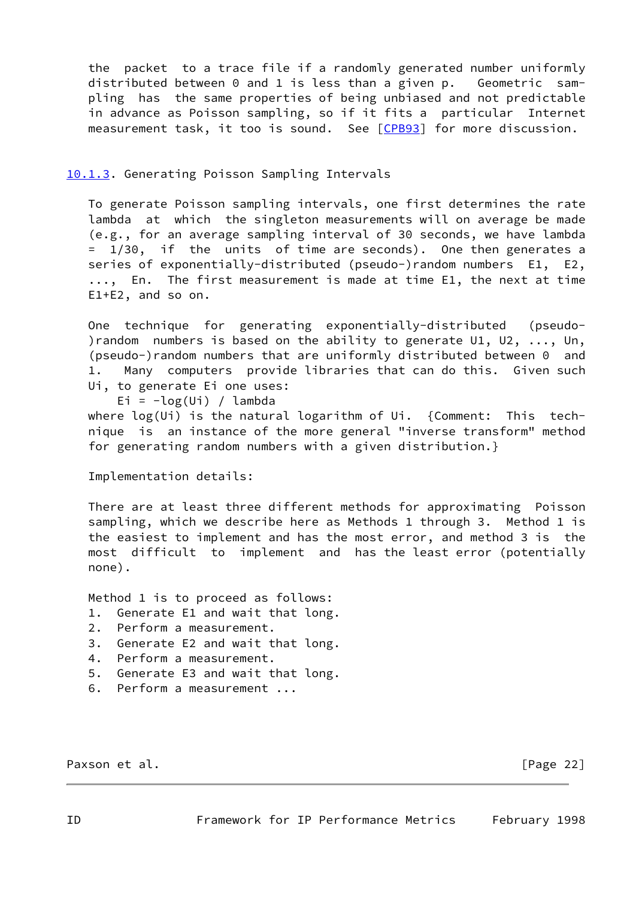the packet to a trace file if a randomly generated number uniformly distributed between 0 and 1 is less than a given p. Geometric sam pling has the same properties of being unbiased and not predictable in advance as Poisson sampling, so if it fits a particular Internet measurement task, it too is sound. See [\[CPB93](#page-41-6)] for more discussion.

# <span id="page-24-0"></span>[10.1.3](#page-24-0). Generating Poisson Sampling Intervals

 To generate Poisson sampling intervals, one first determines the rate lambda at which the singleton measurements will on average be made (e.g., for an average sampling interval of 30 seconds, we have lambda = 1/30, if the units of time are seconds). One then generates a series of exponentially-distributed (pseudo-)random numbers E1, E2, ..., En. The first measurement is made at time E1, the next at time E1+E2, and so on.

 One technique for generating exponentially-distributed (pseudo- )random numbers is based on the ability to generate U1, U2, ..., Un, (pseudo-)random numbers that are uniformly distributed between 0 and 1. Many computers provide libraries that can do this. Given such Ui, to generate Ei one uses:

Ei =  $-log(U_i) /$  lambda

 where log(Ui) is the natural logarithm of Ui. {Comment: This tech nique is an instance of the more general "inverse transform" method for generating random numbers with a given distribution.}

Implementation details:

 There are at least three different methods for approximating Poisson sampling, which we describe here as Methods 1 through 3. Method 1 is the easiest to implement and has the most error, and method 3 is the most difficult to implement and has the least error (potentially none).

Method 1 is to proceed as follows:

- 1. Generate E1 and wait that long.
- 2. Perform a measurement.
- 3. Generate E2 and wait that long.
- 4. Perform a measurement.
- 5. Generate E3 and wait that long.
- 6. Perform a measurement ...

<span id="page-24-1"></span>Paxson et al. [Page 22]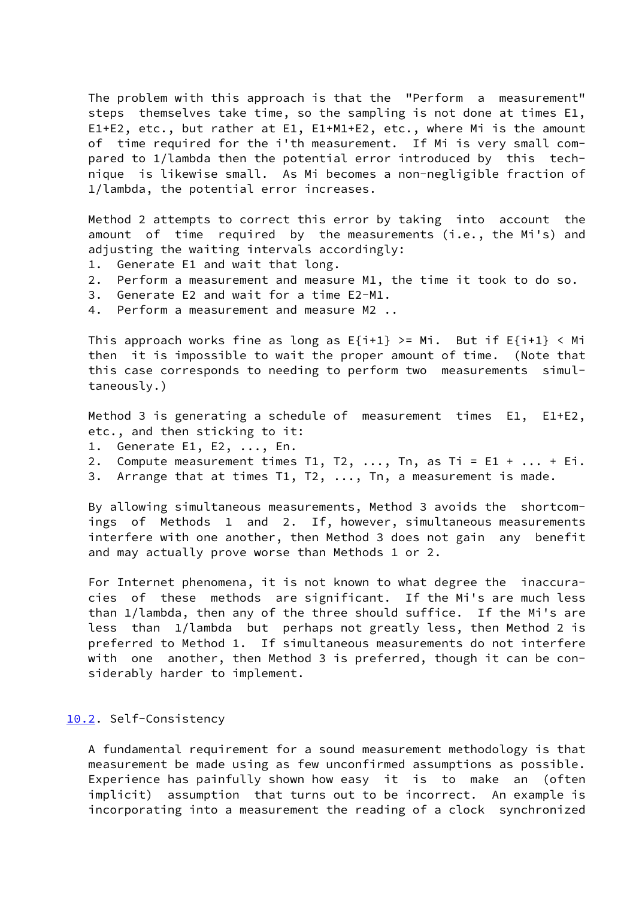The problem with this approach is that the "Perform a measurement" steps themselves take time, so the sampling is not done at times E1, E1+E2, etc., but rather at E1, E1+M1+E2, etc., where Mi is the amount of time required for the i'th measurement. If Mi is very small com pared to 1/lambda then the potential error introduced by this tech nique is likewise small. As Mi becomes a non-negligible fraction of 1/lambda, the potential error increases.

 Method 2 attempts to correct this error by taking into account the amount of time required by the measurements (i.e., the Mi's) and adjusting the waiting intervals accordingly:

- 1. Generate E1 and wait that long.
- 2. Perform a measurement and measure M1, the time it took to do so.
- 3. Generate E2 and wait for a time E2-M1.
- 4. Perform a measurement and measure M2 ..

This approach works fine as long as  $E{i+1}$  >= Mi. But if  $E{i+1}$  < Mi then it is impossible to wait the proper amount of time. (Note that this case corresponds to needing to perform two measurements simul taneously.)

 Method 3 is generating a schedule of measurement times E1, E1+E2, etc., and then sticking to it:

- 1. Generate E1, E2, ..., En.
- 2. Compute measurement times T1, T2, ..., Tn, as Ti = E1 + ... + Ei.
- 3. Arrange that at times T1, T2, ..., Tn, a measurement is made.

 By allowing simultaneous measurements, Method 3 avoids the shortcom ings of Methods 1 and 2. If, however, simultaneous measurements interfere with one another, then Method 3 does not gain any benefit and may actually prove worse than Methods 1 or 2.

 For Internet phenomena, it is not known to what degree the inaccura cies of these methods are significant. If the Mi's are much less than 1/lambda, then any of the three should suffice. If the Mi's are less than 1/lambda but perhaps not greatly less, then Method 2 is preferred to Method 1. If simultaneous measurements do not interfere with one another, then Method 3 is preferred, though it can be con siderably harder to implement.

## <span id="page-25-0"></span>[10.2](#page-25-0). Self-Consistency

 A fundamental requirement for a sound measurement methodology is that measurement be made using as few unconfirmed assumptions as possible. Experience has painfully shown how easy it is to make an (often implicit) assumption that turns out to be incorrect. An example is incorporating into a measurement the reading of a clock synchronized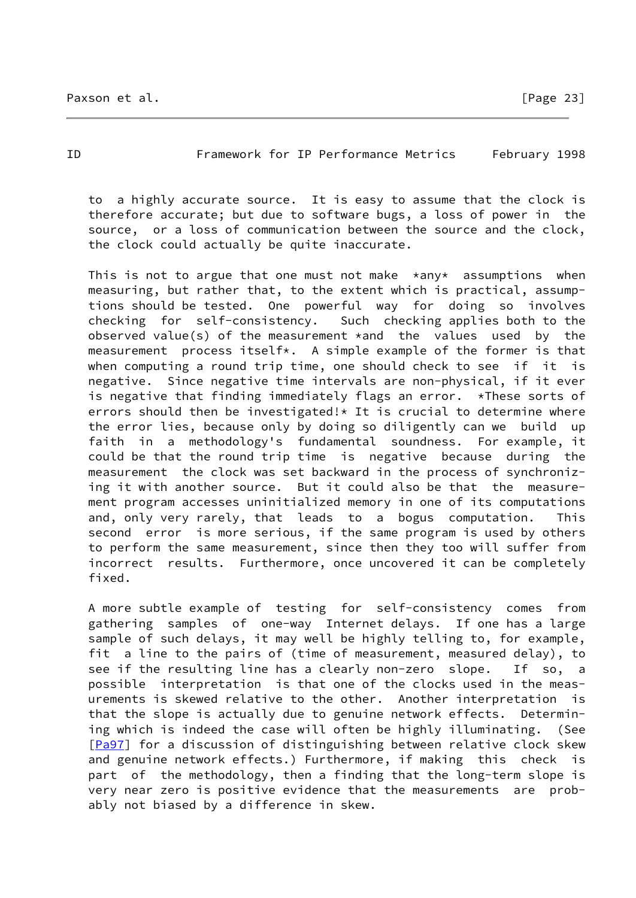### ID Framework for IP Performance Metrics February 1998

 to a highly accurate source. It is easy to assume that the clock is therefore accurate; but due to software bugs, a loss of power in the source, or a loss of communication between the source and the clock, the clock could actually be quite inaccurate.

This is not to argue that one must not make  $*$ any $*$  assumptions when measuring, but rather that, to the extent which is practical, assump tions should be tested. One powerful way for doing so involves checking for self-consistency. Such checking applies both to the observed value(s) of the measurement \*and the values used by the measurement process itself\*. A simple example of the former is that when computing a round trip time, one should check to see if it is negative. Since negative time intervals are non-physical, if it ever is negative that finding immediately flags an error. \*These sorts of errors should then be investigated!\* It is crucial to determine where the error lies, because only by doing so diligently can we build up faith in a methodology's fundamental soundness. For example, it could be that the round trip time is negative because during the measurement the clock was set backward in the process of synchroniz ing it with another source. But it could also be that the measure ment program accesses uninitialized memory in one of its computations and, only very rarely, that leads to a bogus computation. This second error is more serious, if the same program is used by others to perform the same measurement, since then they too will suffer from incorrect results. Furthermore, once uncovered it can be completely fixed.

 A more subtle example of testing for self-consistency comes from gathering samples of one-way Internet delays. If one has a large sample of such delays, it may well be highly telling to, for example, fit a line to the pairs of (time of measurement, measured delay), to see if the resulting line has a clearly non-zero slope. If so, a possible interpretation is that one of the clocks used in the meas urements is skewed relative to the other. Another interpretation is that the slope is actually due to genuine network effects. Determin ing which is indeed the case will often be highly illuminating. (See [\[Pa97](#page-41-3)] for a discussion of distinguishing between relative clock skew and genuine network effects.) Furthermore, if making this check is part of the methodology, then a finding that the long-term slope is very near zero is positive evidence that the measurements are prob ably not biased by a difference in skew.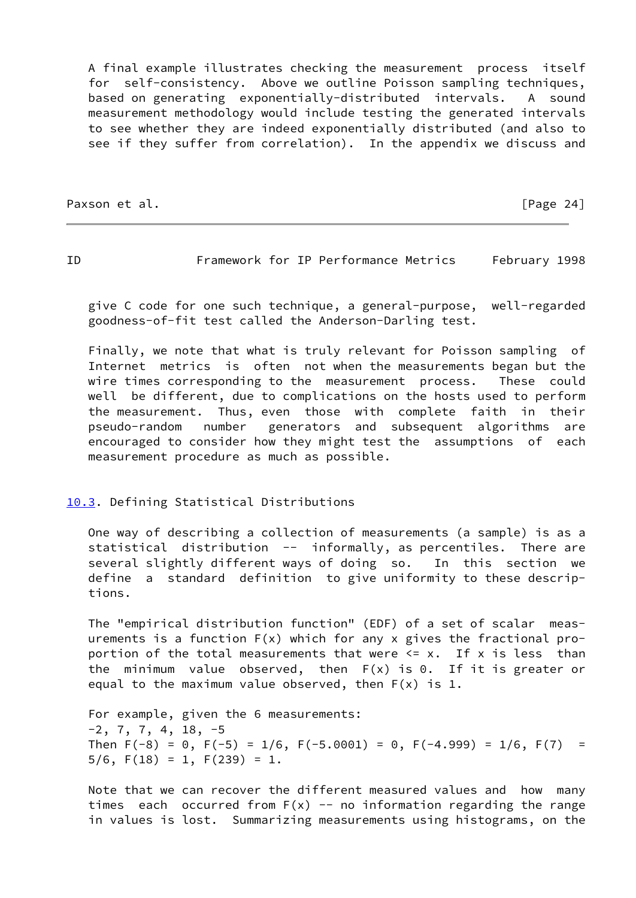A final example illustrates checking the measurement process itself for self-consistency. Above we outline Poisson sampling techniques, based on generating exponentially-distributed intervals. A sound measurement methodology would include testing the generated intervals to see whether they are indeed exponentially distributed (and also to see if they suffer from correlation). In the appendix we discuss and

Paxson et al. **Francischer Executive Contract Contract Contract Contract Contract Contract Contract Contract Contract Contract Contract Contract Contract Contract Contract Contract Contract Contract Contract Contract Contr** 

<span id="page-27-1"></span>ID Framework for IP Performance Metrics February 1998

 give C code for one such technique, a general-purpose, well-regarded goodness-of-fit test called the Anderson-Darling test.

 Finally, we note that what is truly relevant for Poisson sampling of Internet metrics is often not when the measurements began but the wire times corresponding to the measurement process. These could well be different, due to complications on the hosts used to perform the measurement. Thus, even those with complete faith in their pseudo-random number generators and subsequent algorithms are encouraged to consider how they might test the assumptions of each measurement procedure as much as possible.

# <span id="page-27-0"></span>[10.3](#page-27-0). Defining Statistical Distributions

 One way of describing a collection of measurements (a sample) is as a statistical distribution -- informally, as percentiles. There are several slightly different ways of doing so. In this section we define a standard definition to give uniformity to these descrip tions.

 The "empirical distribution function" (EDF) of a set of scalar meas urements is a function  $F(x)$  which for any x gives the fractional proportion of the total measurements that were  $\leq x$ . If x is less than the minimum value observed, then F(x) is 0. If it is greater or equal to the maximum value observed, then  $F(x)$  is 1.

 For example, given the 6 measurements:  $-2$ , 7, 7, 4, 18,  $-5$ Then  $F(-8) = 0$ ,  $F(-5) = 1/6$ ,  $F(-5.0001) = 0$ ,  $F(-4.999) = 1/6$ ,  $F(7) =$  $5/6$ ,  $F(18) = 1$ ,  $F(239) = 1$ .

 Note that we can recover the different measured values and how many times each occurred from  $F(x)$  -- no information regarding the range in values is lost. Summarizing measurements using histograms, on the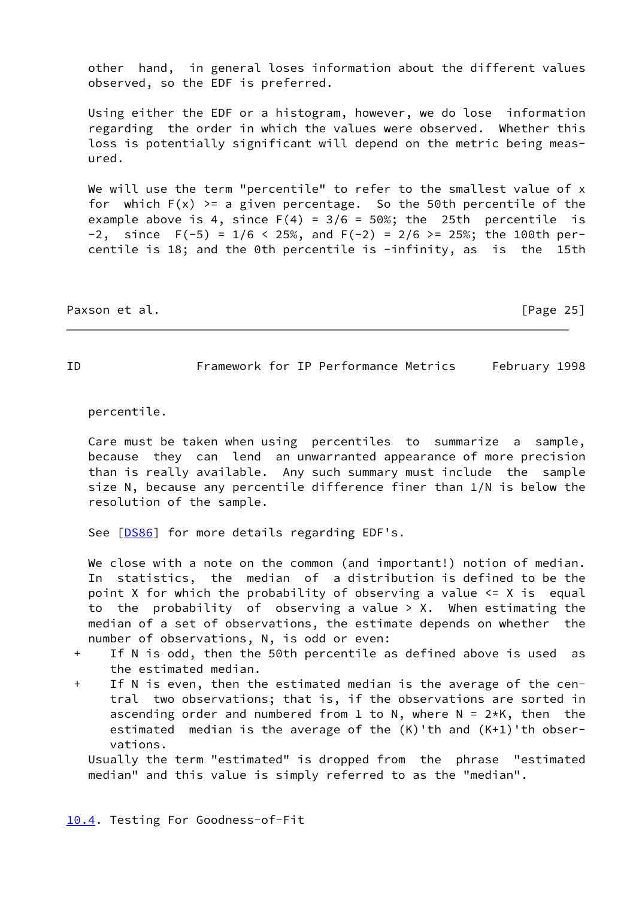other hand, in general loses information about the different values observed, so the EDF is preferred.

 Using either the EDF or a histogram, however, we do lose information regarding the order in which the values were observed. Whether this loss is potentially significant will depend on the metric being meas ured.

We will use the term "percentile" to refer to the smallest value of x for which  $F(x)$  >= a given percentage. So the 50th percentile of the example above is 4, since  $F(4) = 3/6 = 50\%$ ; the 25th percentile is -2, since  $F(-5) = 1/6 < 25\%$ , and  $F(-2) = 2/6 > = 25\%$ ; the 100th percentile is 18; and the 0th percentile is -infinity, as is the 15th

Paxson et al. [Page 25]

<span id="page-28-1"></span>ID Framework for IP Performance Metrics February 1998

percentile.

 Care must be taken when using percentiles to summarize a sample, because they can lend an unwarranted appearance of more precision than is really available. Any such summary must include the sample size N, because any percentile difference finer than 1/N is below the resolution of the sample.

See [\[DS86](#page-41-7)] for more details regarding EDF's.

We close with a note on the common (and important!) notion of median. In statistics, the median of a distribution is defined to be the point X for which the probability of observing a value  $\leq$  X is equal to the probability of observing a value  $>$  X. When estimating the median of a set of observations, the estimate depends on whether the number of observations, N, is odd or even:

- + If N is odd, then the 50th percentile as defined above is used as the estimated median.
- + If N is even, then the estimated median is the average of the cen tral two observations; that is, if the observations are sorted in ascending order and numbered from 1 to N, where  $N = 2*K$ , then the estimated median is the average of the (K)'th and (K+1)'th obser vations.

<span id="page-28-0"></span> Usually the term "estimated" is dropped from the phrase "estimated median" and this value is simply referred to as the "median".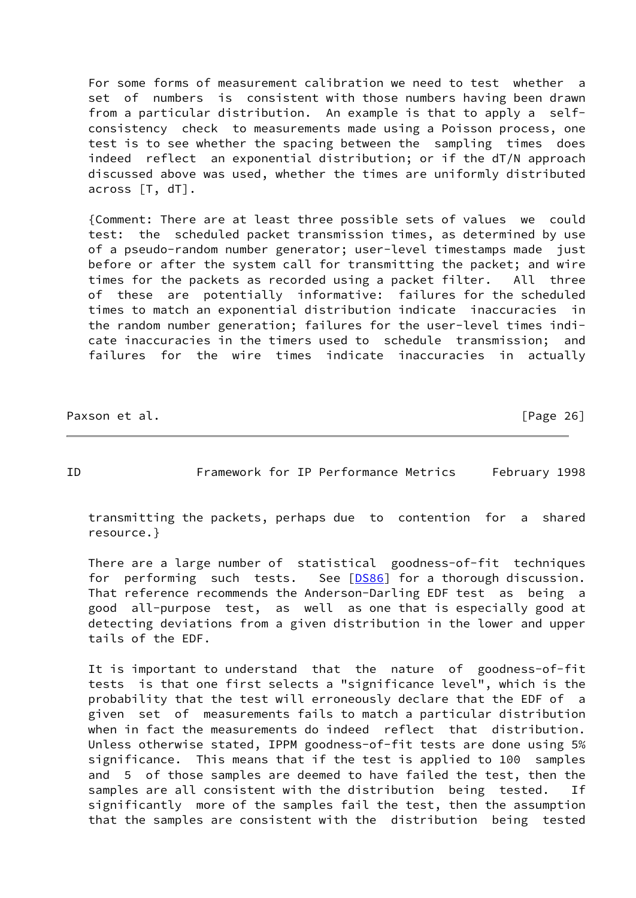For some forms of measurement calibration we need to test whether a set of numbers is consistent with those numbers having been drawn from a particular distribution. An example is that to apply a self consistency check to measurements made using a Poisson process, one test is to see whether the spacing between the sampling times does indeed reflect an exponential distribution; or if the dT/N approach discussed above was used, whether the times are uniformly distributed across [T, dT].

 {Comment: There are at least three possible sets of values we could test: the scheduled packet transmission times, as determined by use of a pseudo-random number generator; user-level timestamps made just before or after the system call for transmitting the packet; and wire times for the packets as recorded using a packet filter. All three of these are potentially informative: failures for the scheduled times to match an exponential distribution indicate inaccuracies in the random number generation; failures for the user-level times indi cate inaccuracies in the timers used to schedule transmission; and failures for the wire times indicate inaccuracies in actually

Paxson et al. [Page 26]

<span id="page-29-0"></span>ID Framework for IP Performance Metrics February 1998

 transmitting the packets, perhaps due to contention for a shared resource.}

 There are a large number of statistical goodness-of-fit techniques for performing such tests. See [\[DS86](#page-41-7)] for a thorough discussion. That reference recommends the Anderson-Darling EDF test as being a good all-purpose test, as well as one that is especially good at detecting deviations from a given distribution in the lower and upper tails of the EDF.

 It is important to understand that the nature of goodness-of-fit tests is that one first selects a "significance level", which is the probability that the test will erroneously declare that the EDF of a given set of measurements fails to match a particular distribution when in fact the measurements do indeed reflect that distribution. Unless otherwise stated, IPPM goodness-of-fit tests are done using 5% significance. This means that if the test is applied to 100 samples and 5 of those samples are deemed to have failed the test, then the samples are all consistent with the distribution being tested. If significantly more of the samples fail the test, then the assumption that the samples are consistent with the distribution being tested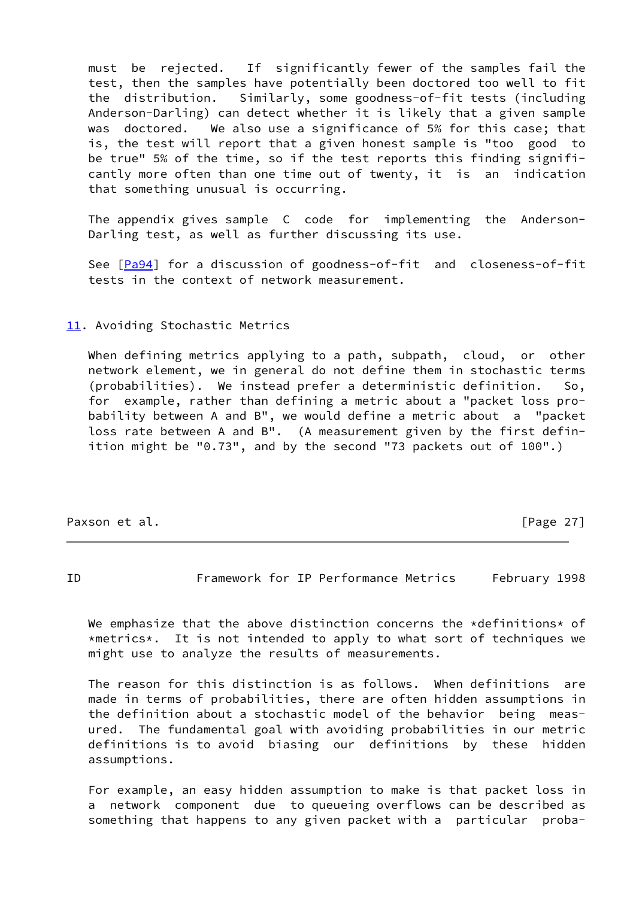must be rejected. If significantly fewer of the samples fail the test, then the samples have potentially been doctored too well to fit the distribution. Similarly, some goodness-of-fit tests (including Anderson-Darling) can detect whether it is likely that a given sample was doctored. We also use a significance of 5% for this case; that is, the test will report that a given honest sample is "too good to be true" 5% of the time, so if the test reports this finding signifi cantly more often than one time out of twenty, it is an indication that something unusual is occurring.

 The appendix gives sample C code for implementing the Anderson- Darling test, as well as further discussing its use.

See [\[Pa94](#page-41-8)] for a discussion of goodness-of-fit and closeness-of-fit tests in the context of network measurement.

### <span id="page-30-0"></span>[11.](#page-30-0) Avoiding Stochastic Metrics

 When defining metrics applying to a path, subpath, cloud, or other network element, we in general do not define them in stochastic terms (probabilities). We instead prefer a deterministic definition. So, for example, rather than defining a metric about a "packet loss pro bability between A and B", we would define a metric about a "packet loss rate between A and B". (A measurement given by the first defin ition might be "0.73", and by the second "73 packets out of 100".)

Paxson et al. [Page 27]

<span id="page-30-1"></span>ID Framework for IP Performance Metrics February 1998

We emphasize that the above distinction concerns the \*definitions\* of \*metrics\*. It is not intended to apply to what sort of techniques we might use to analyze the results of measurements.

 The reason for this distinction is as follows. When definitions are made in terms of probabilities, there are often hidden assumptions in the definition about a stochastic model of the behavior being meas ured. The fundamental goal with avoiding probabilities in our metric definitions is to avoid biasing our definitions by these hidden assumptions.

 For example, an easy hidden assumption to make is that packet loss in a network component due to queueing overflows can be described as something that happens to any given packet with a particular proba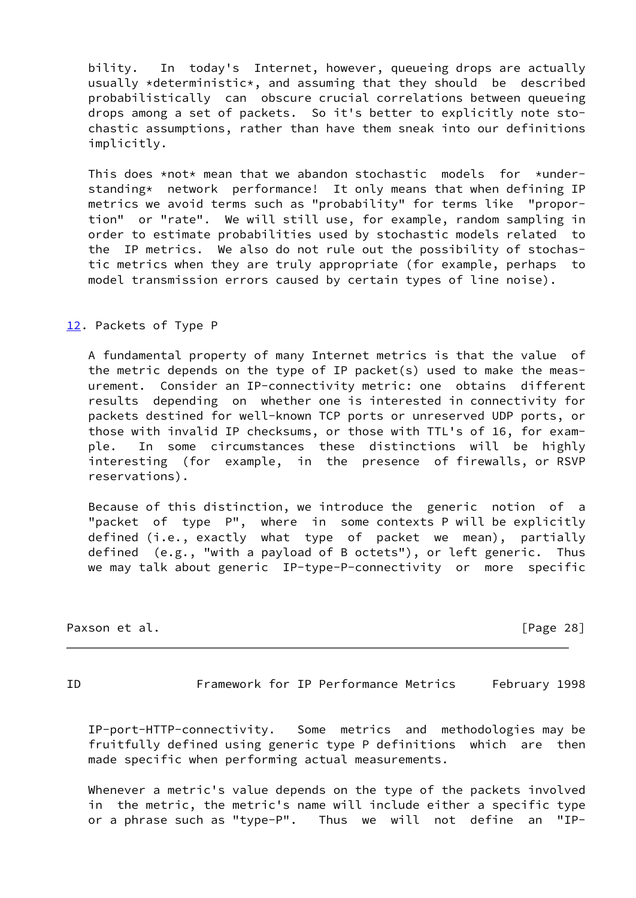bility. In today's Internet, however, queueing drops are actually usually \*deterministic\*, and assuming that they should be described probabilistically can obscure crucial correlations between queueing drops among a set of packets. So it's better to explicitly note sto chastic assumptions, rather than have them sneak into our definitions implicitly.

This does  $*not*$  mean that we abandon stochastic models for  $*under$  standing\* network performance! It only means that when defining IP metrics we avoid terms such as "probability" for terms like "propor tion" or "rate". We will still use, for example, random sampling in order to estimate probabilities used by stochastic models related to the IP metrics. We also do not rule out the possibility of stochas tic metrics when they are truly appropriate (for example, perhaps to model transmission errors caused by certain types of line noise).

#### <span id="page-31-0"></span>[12.](#page-31-0) Packets of Type P

 A fundamental property of many Internet metrics is that the value of the metric depends on the type of IP packet(s) used to make the meas urement. Consider an IP-connectivity metric: one obtains different results depending on whether one is interested in connectivity for packets destined for well-known TCP ports or unreserved UDP ports, or those with invalid IP checksums, or those with TTL's of 16, for exam ple. In some circumstances these distinctions will be highly interesting (for example, in the presence of firewalls, or RSVP reservations).

 Because of this distinction, we introduce the generic notion of a "packet of type P", where in some contexts P will be explicitly defined (i.e., exactly what type of packet we mean), partially defined (e.g., "with a payload of B octets"), or left generic. Thus we may talk about generic IP-type-P-connectivity or more specific

Paxson et al. [Page 28]

<span id="page-31-1"></span>ID Framework for IP Performance Metrics February 1998

 IP-port-HTTP-connectivity. Some metrics and methodologies may be fruitfully defined using generic type P definitions which are then made specific when performing actual measurements.

 Whenever a metric's value depends on the type of the packets involved in the metric, the metric's name will include either a specific type or a phrase such as "type-P". Thus we will not define an "IP-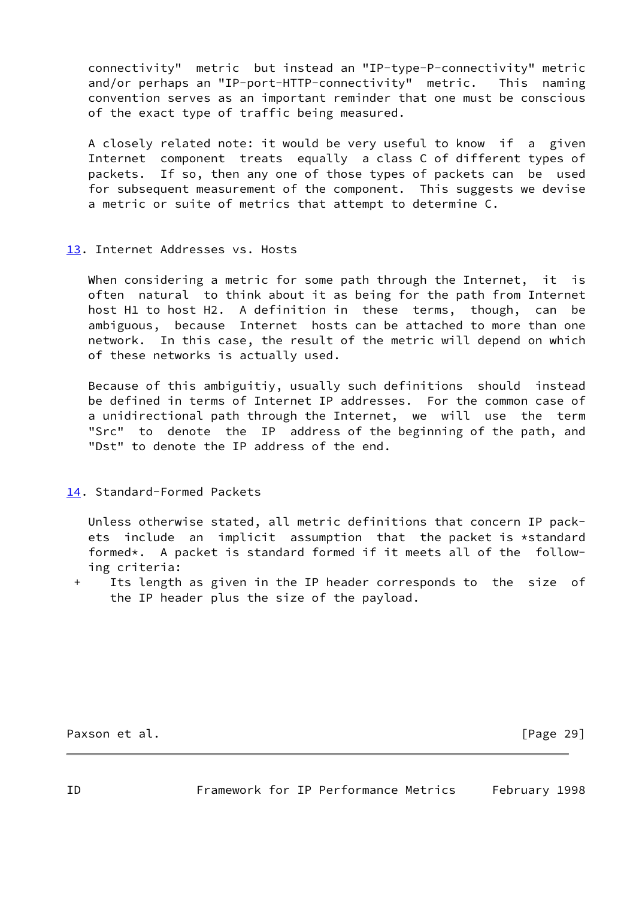connectivity" metric but instead an "IP-type-P-connectivity" metric and/or perhaps an "IP-port-HTTP-connectivity" metric. This naming convention serves as an important reminder that one must be conscious of the exact type of traffic being measured.

 A closely related note: it would be very useful to know if a given Internet component treats equally a class C of different types of packets. If so, then any one of those types of packets can be used for subsequent measurement of the component. This suggests we devise a metric or suite of metrics that attempt to determine C.

# <span id="page-32-0"></span>[13.](#page-32-0) Internet Addresses vs. Hosts

 When considering a metric for some path through the Internet, it is often natural to think about it as being for the path from Internet host H1 to host H2. A definition in these terms, though, can be ambiguous, because Internet hosts can be attached to more than one network. In this case, the result of the metric will depend on which of these networks is actually used.

 Because of this ambiguitiy, usually such definitions should instead be defined in terms of Internet IP addresses. For the common case of a unidirectional path through the Internet, we will use the term "Src" to denote the IP address of the beginning of the path, and "Dst" to denote the IP address of the end.

# <span id="page-32-1"></span>[14.](#page-32-1) Standard-Formed Packets

 Unless otherwise stated, all metric definitions that concern IP pack ets include an implicit assumption that the packet is \*standard formed\*. A packet is standard formed if it meets all of the follow ing criteria:

 + Its length as given in the IP header corresponds to the size of the IP header plus the size of the payload.

<span id="page-32-2"></span>Paxson et al. **Figure 201 Paxson et al. Page 29**]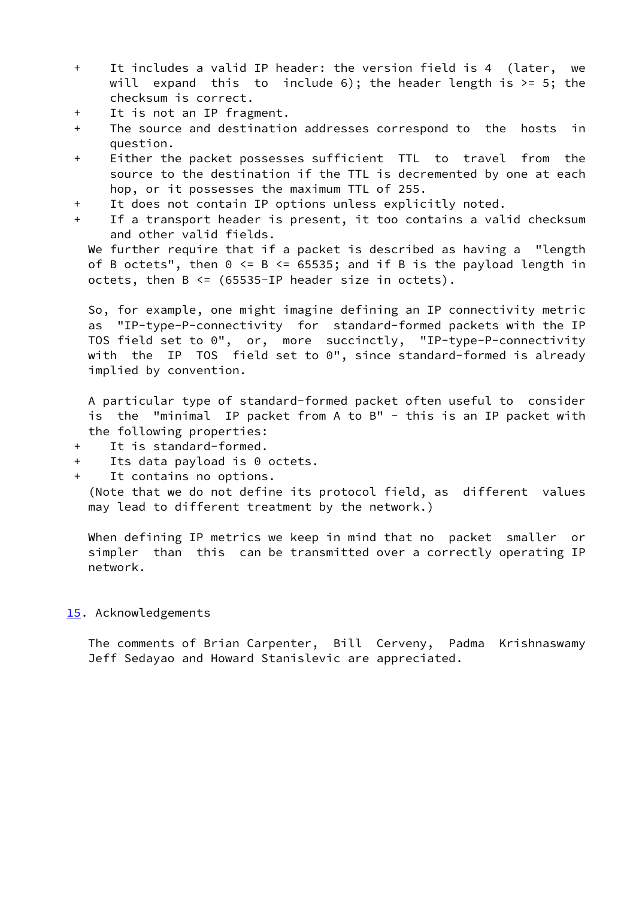- + It includes a valid IP header: the version field is 4 (later, we will expand this to include 6); the header length is  $>= 5$ ; the checksum is correct.
- + It is not an IP fragment.
- + The source and destination addresses correspond to the hosts in question.
- + Either the packet possesses sufficient TTL to travel from the source to the destination if the TTL is decremented by one at each hop, or it possesses the maximum TTL of 255.
- + It does not contain IP options unless explicitly noted.
- + If a transport header is present, it too contains a valid checksum and other valid fields.

We further require that if a packet is described as having a "length of B octets", then  $0 \le B \le 65535$ ; and if B is the payload length in octets, then  $B \leq (65535 - IP)$  header size in octets).

 So, for example, one might imagine defining an IP connectivity metric as "IP-type-P-connectivity for standard-formed packets with the IP TOS field set to 0", or, more succinctly, "IP-type-P-connectivity with the IP TOS field set to 0", since standard-formed is already implied by convention.

 A particular type of standard-formed packet often useful to consider is the "minimal IP packet from A to B" - this is an IP packet with the following properties:

- + It is standard-formed.
- + Its data payload is 0 octets.
- + It contains no options.

 (Note that we do not define its protocol field, as different values may lead to different treatment by the network.)

 When defining IP metrics we keep in mind that no packet smaller or simpler than this can be transmitted over a correctly operating IP network.

### <span id="page-33-0"></span>[15.](#page-33-0) Acknowledgements

 The comments of Brian Carpenter, Bill Cerveny, Padma Krishnaswamy Jeff Sedayao and Howard Stanislevic are appreciated.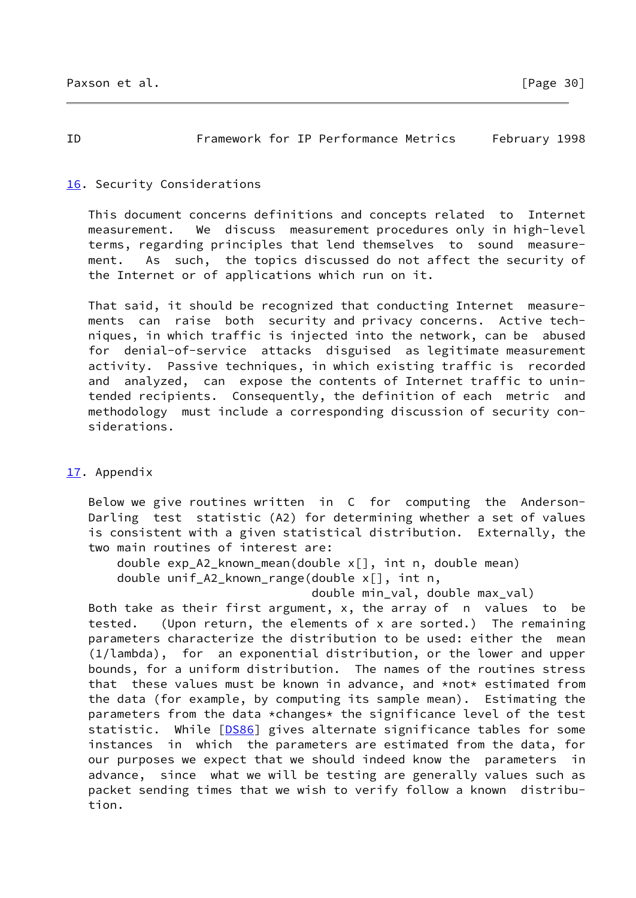<span id="page-34-1"></span>ID Framework for IP Performance Metrics February 1998

# <span id="page-34-0"></span>[16.](#page-34-0) Security Considerations

 This document concerns definitions and concepts related to Internet measurement. We discuss measurement procedures only in high-level terms, regarding principles that lend themselves to sound measure ment. As such, the topics discussed do not affect the security of the Internet or of applications which run on it.

 That said, it should be recognized that conducting Internet measure ments can raise both security and privacy concerns. Active tech niques, in which traffic is injected into the network, can be abused for denial-of-service attacks disguised as legitimate measurement activity. Passive techniques, in which existing traffic is recorded and analyzed, can expose the contents of Internet traffic to unin tended recipients. Consequently, the definition of each metric and methodology must include a corresponding discussion of security con siderations.

# <span id="page-34-2"></span>[17.](#page-34-2) Appendix

 Below we give routines written in C for computing the Anderson- Darling test statistic (A2) for determining whether a set of values is consistent with a given statistical distribution. Externally, the two main routines of interest are:

 double exp\_A2\_known\_mean(double x[], int n, double mean) double unif\_A2\_known\_range(double x[], int n,

double min\_val, double max\_val)

 Both take as their first argument, x, the array of n values to be tested. (Upon return, the elements of x are sorted.) The remaining parameters characterize the distribution to be used: either the mean (1/lambda), for an exponential distribution, or the lower and upper bounds, for a uniform distribution. The names of the routines stress that these values must be known in advance, and \*not\* estimated from the data (for example, by computing its sample mean). Estimating the parameters from the data \*changes\* the significance level of the test statistic. While [[DS86\]](#page-41-7) gives alternate significance tables for some instances in which the parameters are estimated from the data, for our purposes we expect that we should indeed know the parameters in advance, since what we will be testing are generally values such as packet sending times that we wish to verify follow a known distribu tion.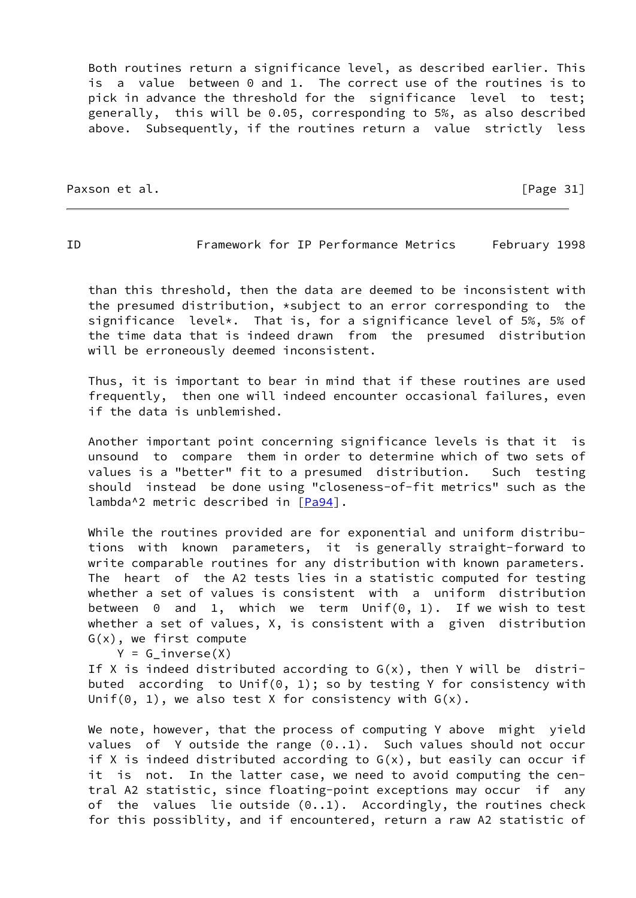Both routines return a significance level, as described earlier. This is a value between 0 and 1. The correct use of the routines is to pick in advance the threshold for the significance level to test; generally, this will be 0.05, corresponding to 5%, as also described above. Subsequently, if the routines return a value strictly less

Paxson et al. [Page 31]

ID Framework for IP Performance Metrics February 1998

 than this threshold, then the data are deemed to be inconsistent with the presumed distribution, \*subject to an error corresponding to the significance level\*. That is, for a significance level of 5%, 5% of the time data that is indeed drawn from the presumed distribution will be erroneously deemed inconsistent.

 Thus, it is important to bear in mind that if these routines are used frequently, then one will indeed encounter occasional failures, even if the data is unblemished.

 Another important point concerning significance levels is that it is unsound to compare them in order to determine which of two sets of values is a "better" fit to a presumed distribution. Such testing should instead be done using "closeness-of-fit metrics" such as the lambda^2 metric described in [\[Pa94](#page-41-8)].

 While the routines provided are for exponential and uniform distribu tions with known parameters, it is generally straight-forward to write comparable routines for any distribution with known parameters. The heart of the A2 tests lies in a statistic computed for testing whether a set of values is consistent with a uniform distribution between 0 and 1, which we term Unif(0, 1). If we wish to test whether a set of values, X, is consistent with a given distribution G(x), we first compute

 $Y = G$  inverse $(X)$ 

If X is indeed distributed according to  $G(x)$ , then Y will be distributed according to Unif(0, 1); so by testing Y for consistency with Unif(0, 1), we also test X for consistency with  $G(x)$ .

 We note, however, that the process of computing Y above might yield values of Y outside the range  $(0..1)$ . Such values should not occur if X is indeed distributed according to  $G(x)$ , but easily can occur if it is not. In the latter case, we need to avoid computing the cen tral A2 statistic, since floating-point exceptions may occur if any of the values lie outside  $(0..1)$ . Accordingly, the routines check for this possiblity, and if encountered, return a raw A2 statistic of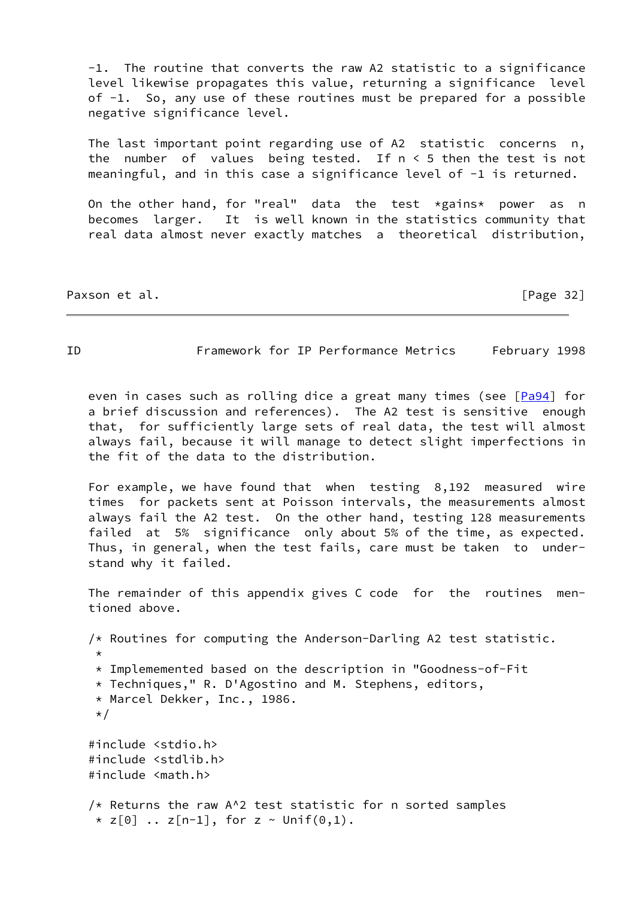-1. The routine that converts the raw A2 statistic to a significance level likewise propagates this value, returning a significance level of -1. So, any use of these routines must be prepared for a possible negative significance level.

 The last important point regarding use of A2 statistic concerns n, the number of values being tested. If  $n < 5$  then the test is not meaningful, and in this case a significance level of -1 is returned.

On the other hand, for "real" data the test  $*$ gains\* power as n becomes larger. It is well known in the statistics community that real data almost never exactly matches a theoretical distribution,

Paxson et al. [Page 32]

# ID Framework for IP Performance Metrics February 1998

even in cases such as rolling dice a great many times (see [[Pa94\]](#page-41-8) for a brief discussion and references). The A2 test is sensitive enough that, for sufficiently large sets of real data, the test will almost always fail, because it will manage to detect slight imperfections in the fit of the data to the distribution.

 For example, we have found that when testing 8,192 measured wire times for packets sent at Poisson intervals, the measurements almost always fail the A2 test. On the other hand, testing 128 measurements failed at 5% significance only about 5% of the time, as expected. Thus, in general, when the test fails, care must be taken to under stand why it failed.

 The remainder of this appendix gives C code for the routines men tioned above.

 /\* Routines for computing the Anderson-Darling A2 test statistic. \* \* Implememented based on the description in "Goodness-of-Fit \* Techniques," R. D'Agostino and M. Stephens, editors, \* Marcel Dekker, Inc., 1986. \*/ #include <stdio.h> #include <stdlib.h> #include <math.h>  $/*$  Returns the raw A^2 test statistic for n sorted samples \*  $z[0]$  ..  $z[n-1]$ , for  $z \sim$  Unif(0,1).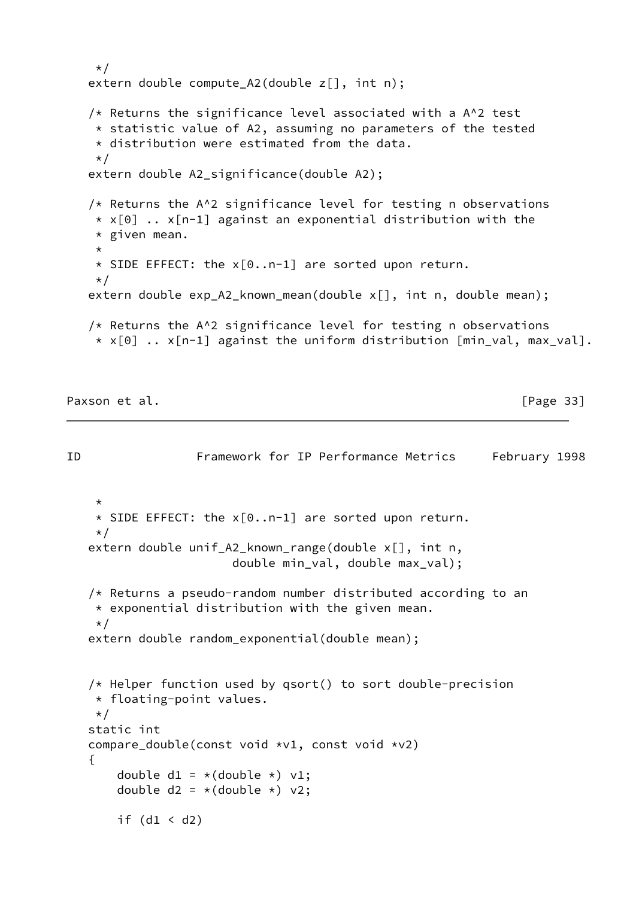```
 */
extern double compute_A2(double z[], int n);
/* Returns the significance level associated with a A^2 test
  * statistic value of A2, assuming no parameters of the tested
 * distribution were estimated from the data.
 \star /
 extern double A2_significance(double A2);
/* Returns the A^2 significance level for testing n observations
 \star x[0] .. x[n-1] against an exponential distribution with the
  * given mean.
  *
 * SIDE EFFECT: the x[0..n-1] are sorted upon return.
  */
extern double exp A2 known mean(double x[], int n, double mean);
/* Returns the A^2 significance level for testing n observations
 * x[0] .. x[n-1] against the uniform distribution min\_val, max_val].
```
Paxson et al. [Page 33]

```
ID Framework for IP Performance Metrics February 1998
\star * SIDE EFFECT: the x[0..n-1] are sorted upon return.
     */
    extern double unif_A2_known_range(double x[], int n,
                        double min_val, double max_val);
    /* Returns a pseudo-random number distributed according to an
    * exponential distribution with the given mean.
     */
    extern double random_exponential(double mean);
    /* Helper function used by qsort() to sort double-precision
     * floating-point values.
     */
    static int
    compare_double(const void *v1, const void *v2)
    {
       double d1 = *(double *) v1;double d2 = *(double *) v2;if (d1 < d2)
```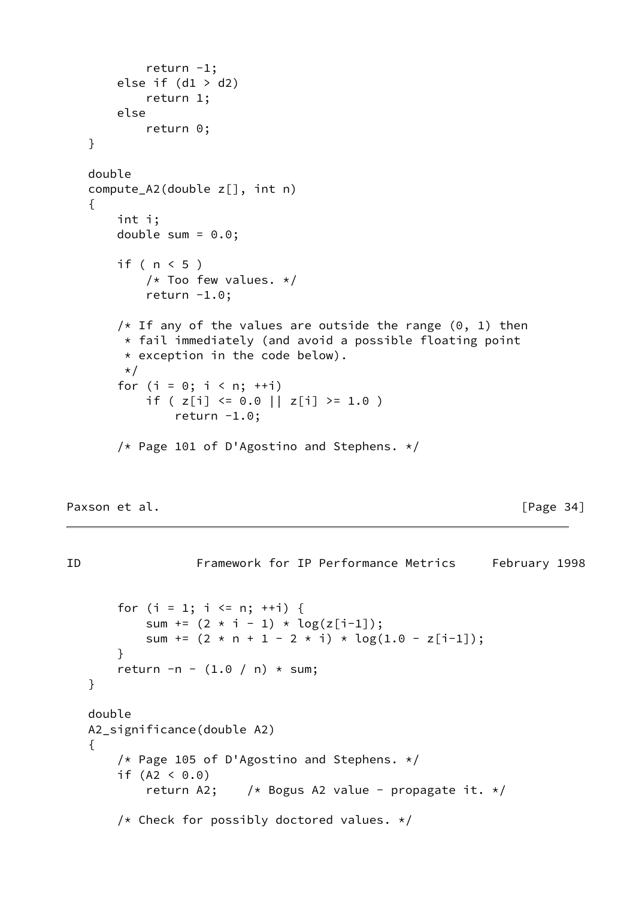```
return -1;
    else if (d1 > d2) return 1;
     else
         return 0;
 }
 double
 compute_A2(double z[], int n)
 {
     int i;
    double sum = 0.0;
     if ( n < 5 )
        /* Too few values. */return -1.0;
    /* If any of the values are outside the range (0, 1) then
      * fail immediately (and avoid a possible floating point
      * exception in the code below).
     \star/for (i = 0; i < n; ++i)if ( z[i] <= 0.0 || z[i] >= 1.0 )
            return -1.0;
     /* Page 101 of D'Agostino and Stephens. */
```
Paxson et al. **Figure 24** and 24 and 25 and 26 and 26 and 26 and 26 and 26 and 26 and 26 and 26 and 26 and 26 and 26 and 26 and 26 and 26 and 26 and 26 and 26 and 26 and 26 and 26 and 26 and 26 and 26 and 26 and 26 and 26

```
ID Framework for IP Performance Metrics February 1998
       for (i = 1; i \le n; ++i) {
           sum += (2 * i - 1) * log(z[i-1]);sum += (2 \times n + 1 - 2 \times i) \times log(1.0 - z[i-1]); }
       return -n - (1.0 / n) * sum;
    }
    double
    A2_significance(double A2)
    {
       /* Page 105 of D'Agostino and Stephens. */if (A2 < 0.0)return A2; \frac{1}{x} Bogus A2 value - propagate it. \frac{x}{x} /* Check for possibly doctored values. */
```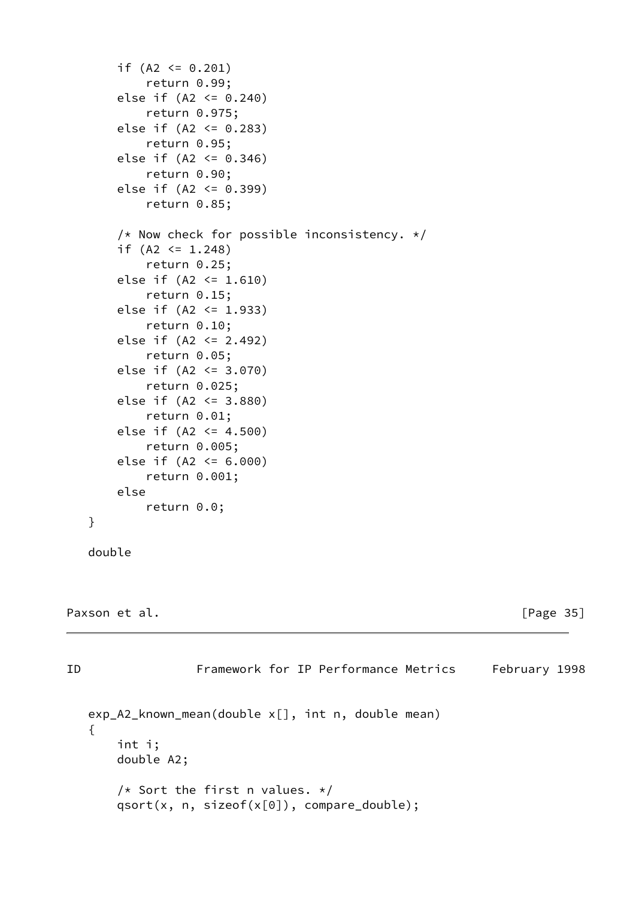```
if (A2 \le 0.201) return 0.99;
 else if (A2 <= 0.240)
     return 0.975;
else if (A2 \le 0.283) return 0.95;
else if (A2 \le 0.346) return 0.90;
 else if (A2 <= 0.399)
     return 0.85;
 /* Now check for possible inconsistency. */
if (A2 \le 1.248) return 0.25;
 else if (A2 <= 1.610)
     return 0.15;
 else if (A2 <= 1.933)
     return 0.10;
 else if (A2 <= 2.492)
     return 0.05;
 else if (A2 <= 3.070)
     return 0.025;
 else if (A2 <= 3.880)
     return 0.01;
 else if (A2 <= 4.500)
     return 0.005;
 else if (A2 <= 6.000)
     return 0.001;
 else
     return 0.0;
```

```
 double
```
}

```
Paxson et al. [Page 35]
```

```
ID Framework for IP Performance Metrics February 1998
   exp_A2_known_mean(double x[], int n, double mean)
   {
       int i;
       double A2;
      /* Sort the first n values. */ qsort(x, n, sizeof(x[0]), compare_double);
```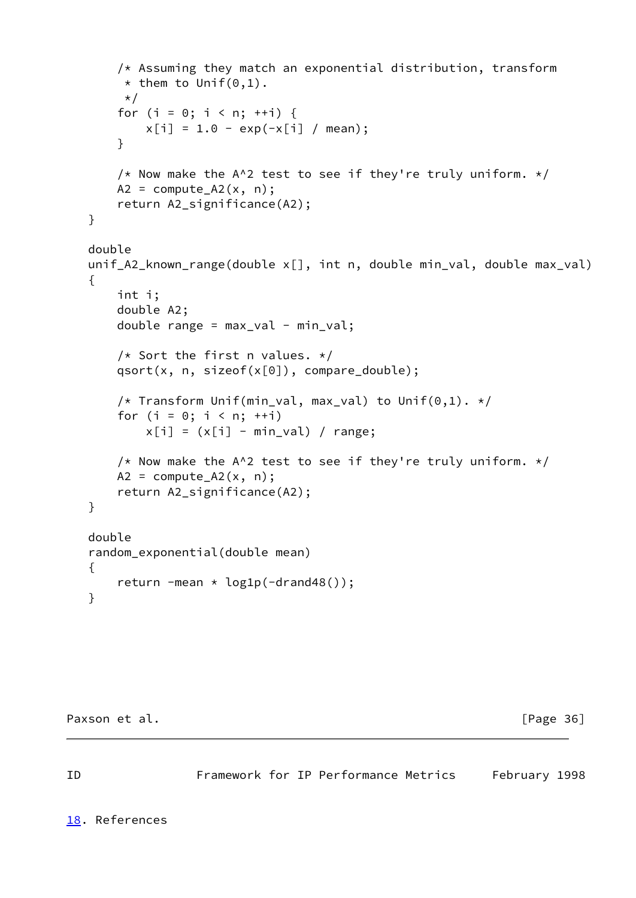```
 /* Assuming they match an exponential distribution, transform
     * them to Unif(0,1).
     \star/for (i = 0; i < n; ++i) {
        x[i] = 1.0 - exp(-x[i] / mean); }
    /* Now make the A^2 test to see if they're truly uniform. */A2 = compute_A2(x, n); return A2_significance(A2);
 }
 double
 unif_A2_known_range(double x[], int n, double min_val, double max_val)
 {
     int i;
     double A2;
     double range = max_val - min_val;
    /* Sort the first n values. */ qsort(x, n, sizeof(x[0]), compare_double);
    /* Transform Unif(min_val, max_val) to Unif(0,1). */for (i = 0; i < n; ++i)x[i] = (x[i] - min_val) / range;/* Now make the A^2 test to see if they're truly uniform. */A2 = compute_A2(x, n); return A2_significance(A2);
 }
 double
 random_exponential(double mean)
 {
    return -mean \star log1p(-drand48());
 }
```
Paxson et al. [Page 36]

<span id="page-40-1"></span>ID Framework for IP Performance Metrics February 1998

<span id="page-40-0"></span>[18.](#page-40-0) References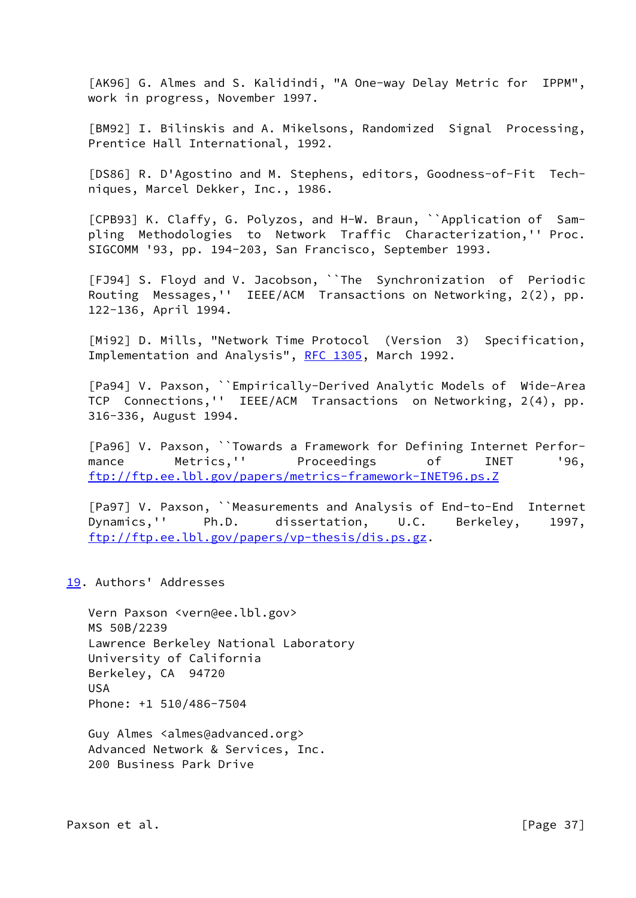<span id="page-41-2"></span> [AK96] G. Almes and S. Kalidindi, "A One-way Delay Metric for IPPM", work in progress, November 1997.

<span id="page-41-5"></span> [BM92] I. Bilinskis and A. Mikelsons, Randomized Signal Processing, Prentice Hall International, 1992.

<span id="page-41-7"></span> [DS86] R. D'Agostino and M. Stephens, editors, Goodness-of-Fit Tech niques, Marcel Dekker, Inc., 1986.

<span id="page-41-6"></span> [CPB93] K. Claffy, G. Polyzos, and H-W. Braun, ``Application of Sam pling Methodologies to Network Traffic Characterization,'' Proc. SIGCOMM '93, pp. 194-203, San Francisco, September 1993.

<span id="page-41-4"></span> [FJ94] S. Floyd and V. Jacobson, ``The Synchronization of Periodic Routing Messages,'' IEEE/ACM Transactions on Networking, 2(2), pp. 122-136, April 1994.

<span id="page-41-1"></span>[Mi92] D. Mills, "Network Time Protocol (Version 3) Specification, Implementation and Analysis", [RFC 1305](https://datatracker.ietf.org/doc/pdf/rfc1305), March 1992.

<span id="page-41-8"></span> [Pa94] V. Paxson, ``Empirically-Derived Analytic Models of Wide-Area TCP Connections,'' IEEE/ACM Transactions on Networking, 2(4), pp. 316-336, August 1994.

 [Pa96] V. Paxson, ``Towards a Framework for Defining Internet Perfor mance Metrics,'' Proceedings of INET '96, <ftp://ftp.ee.lbl.gov/papers/metrics-framework-INET96.ps.Z>

<span id="page-41-3"></span> [Pa97] V. Paxson, ``Measurements and Analysis of End-to-End Internet Dynamics,'' Ph.D. dissertation, U.C. Berkeley, 1997, <ftp://ftp.ee.lbl.gov/papers/vp-thesis/dis.ps.gz>.

# <span id="page-41-0"></span>[19.](#page-41-0) Authors' Addresses

 Vern Paxson <vern@ee.lbl.gov> MS 50B/2239 Lawrence Berkeley National Laboratory University of California Berkeley, CA 94720 USA Phone: +1 510/486-7504

 Guy Almes <almes@advanced.org> Advanced Network & Services, Inc. 200 Business Park Drive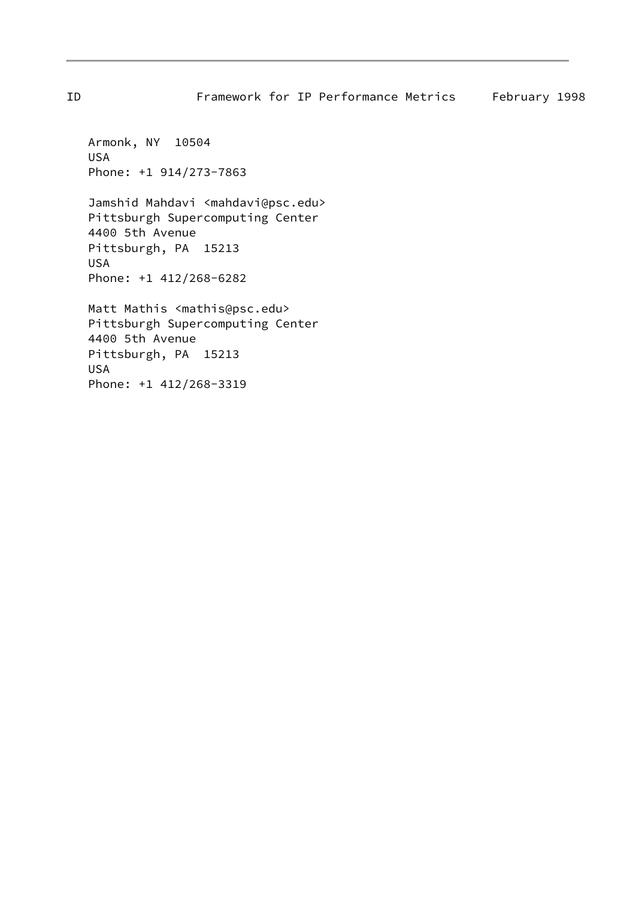ID Framework for IP Performance Metrics February 1998

 Armonk, NY 10504 USA Phone: +1 914/273-7863

Jamshid Mahdavi <mahdavi@psc.edu> Pittsburgh Supercomputing Center 4400 5th Avenue Pittsburgh, PA 15213 USA Phone: +1 412/268-6282

 Matt Mathis <mathis@psc.edu> Pittsburgh Supercomputing Center 4400 5th Avenue Pittsburgh, PA 15213 USA Phone: +1 412/268-3319